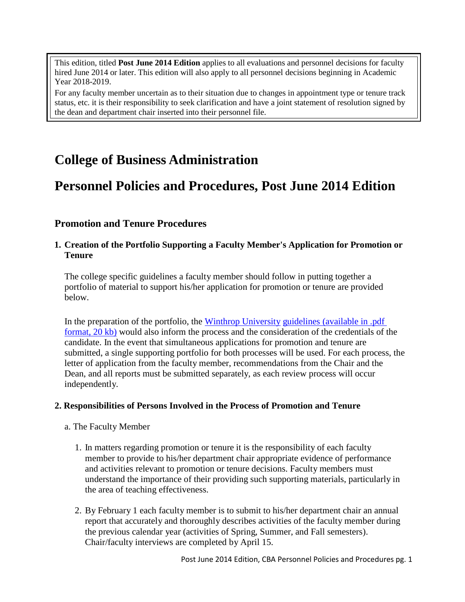This edition, titled **Post June 2014 Edition** applies to all evaluations and personnel decisions for faculty hired June 2014 or later. This edition will also apply to all personnel decisions beginning in Academic Year 2018-2019.

For any faculty member uncertain as to their situation due to changes in appointment type or tenure track status, etc. it is their responsibility to seek clarification and have a joint statement of resolution signed by the dean and department chair inserted into their personnel file.

# **College of Business Administration**

# **Personnel Policies and Procedures, Post June 2014 Edition**

# **Promotion and Tenure Procedures**

## **1. Creation of the Portfolio Supporting a Faculty Member's Application for Promotion or Tenure**

The college specific guidelines a faculty member should follow in putting together a portfolio of material to support his/her application for promotion or tenure are provided below.

In the preparation of the portfolio, the Winthrop [University](http://www.winthrop.edu/uploadedFiles/cba/facultymanual/WUGuidelinesforPromotionTenurePortfolio.pdf) guidelines (available in .pdf [format, 20 kb\)](http://www.winthrop.edu/uploadedFiles/cba/facultymanual/WUGuidelinesforPromotionTenurePortfolio.pdf) would also inform the process and the consideration of the credentials of the candidate. In the event that simultaneous applications for promotion and tenure are submitted, a single supporting portfolio for both processes will be used. For each process, the letter of application from the faculty member, recommendations from the Chair and the Dean, and all reports must be submitted separately, as each review process will occur independently.

## **2. Responsibilities of Persons Involved in the Process of Promotion and Tenure**

- a. The Faculty Member
	- 1. In matters regarding promotion or tenure it is the responsibility of each faculty member to provide to his/her department chair appropriate evidence of performance and activities relevant to promotion or tenure decisions. Faculty members must understand the importance of their providing such supporting materials, particularly in the area of teaching effectiveness.
	- 2. By February 1 each faculty member is to submit to his/her department chair an annual report that accurately and thoroughly describes activities of the faculty member during the previous calendar year (activities of Spring, Summer, and Fall semesters). Chair/faculty interviews are completed by April 15.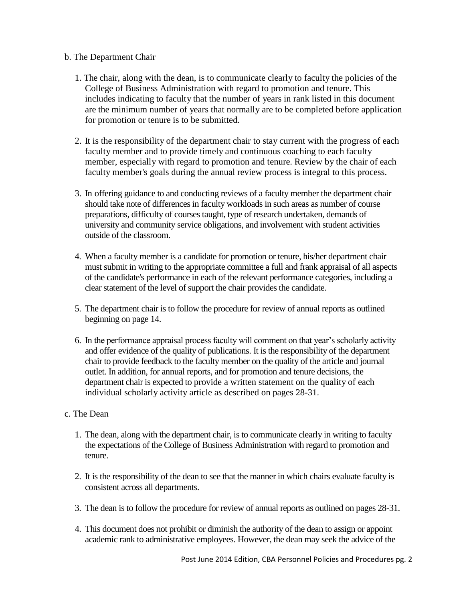## b. The Department Chair

- 1. The chair, along with the dean, is to communicate clearly to faculty the policies of the College of Business Administration with regard to promotion and tenure. This includes indicating to faculty that the number of years in rank listed in this document are the minimum number of years that normally are to be completed before application for promotion or tenure is to be submitted.
- 2. It is the responsibility of the department chair to stay current with the progress of each faculty member and to provide timely and continuous coaching to each faculty member, especially with regard to promotion and tenure. Review by the chair of each faculty member's goals during the annual review process is integral to this process.
- 3. In offering guidance to and conducting reviews of a faculty member the department chair should take note of differences in faculty workloads in such areas as number of course preparations, difficulty of courses taught, type of research undertaken, demands of university and community service obligations, and involvement with student activities outside of the classroom.
- 4. When a faculty member is a candidate for promotion or tenure, his/her department chair must submit in writing to the appropriate committee a full and frank appraisal of all aspects of the candidate's performance in each of the relevant performance categories, including a clear statement of the level of support the chair provides the candidate.
- 5. The department chair is to follow the procedure for review of annual reports as outlined beginning on page 14.
- 6. In the performance appraisal process faculty will comment on that year's scholarly activity and offer evidence of the quality of publications. It is the responsibility of the department chair to provide feedback to the faculty member on the quality of the article and journal outlet. In addition, for annual reports, and for promotion and tenure decisions, the department chair is expected to provide a written statement on the quality of each individual scholarly activity article as described on pages 28-31.

# c. The Dean

- 1. The dean, along with the department chair, is to communicate clearly in writing to faculty the expectations of the College of Business Administration with regard to promotion and tenure.
- 2. It is the responsibility of the dean to see that the manner in which chairs evaluate faculty is consistent across all departments.
- 3. The dean is to follow the procedure for review of annual reports as outlined on pages 28-31.
- 4. This document does not prohibit or diminish the authority of the dean to assign or appoint academic rank to administrative employees. However, the dean may seek the advice of the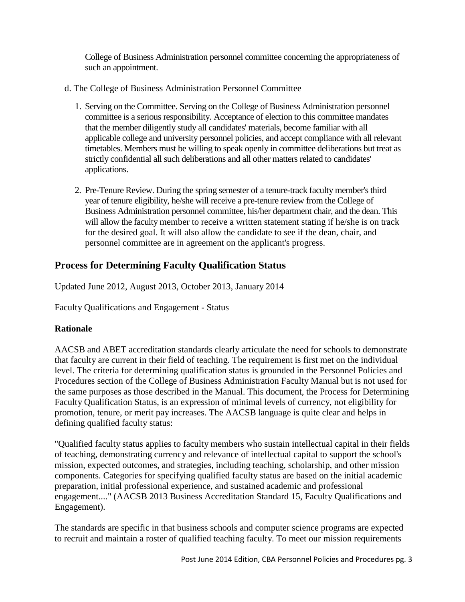College of Business Administration personnel committee concerning the appropriateness of such an appointment.

- d. The College of Business Administration Personnel Committee
	- 1. Serving on the Committee. Serving on the College of Business Administration personnel committee is a serious responsibility. Acceptance of election to this committee mandates that the member diligently study all candidates' materials, become familiar with all applicable college and university personnel policies, and accept compliance with all relevant timetables. Members must be willing to speak openly in committee deliberations but treat as strictly confidential all such deliberations and all other matters related to candidates' applications.
	- 2. Pre-Tenure Review. During the spring semester of a tenure-track faculty member's third year of tenure eligibility, he/she will receive a pre-tenure review from the College of Business Administration personnel committee, his/her department chair, and the dean. This will allow the faculty member to receive a written statement stating if he/she is on track for the desired goal. It will also allow the candidate to see if the dean, chair, and personnel committee are in agreement on the applicant's progress.

# **Process for Determining Faculty Qualification Status**

Updated June 2012, August 2013, October 2013, January 2014

Faculty Qualifications and Engagement - Status

# **Rationale**

AACSB and ABET accreditation standards clearly articulate the need for schools to demonstrate that faculty are current in their field of teaching. The requirement is first met on the individual level. The criteria for determining qualification status is grounded in the Personnel Policies and Procedures section of the College of Business Administration Faculty Manual but is not used for the same purposes as those described in the Manual. This document, the Process for Determining Faculty Qualification Status, is an expression of minimal levels of currency, not eligibility for promotion, tenure, or merit pay increases. The AACSB language is quite clear and helps in defining qualified faculty status:

"Qualified faculty status applies to faculty members who sustain intellectual capital in their fields of teaching, demonstrating currency and relevance of intellectual capital to support the school's mission, expected outcomes, and strategies, including teaching, scholarship, and other mission components. Categories for specifying qualified faculty status are based on the initial academic preparation, initial professional experience, and sustained academic and professional engagement...." (AACSB 2013 Business Accreditation Standard 15, Faculty Qualifications and Engagement).

The standards are specific in that business schools and computer science programs are expected to recruit and maintain a roster of qualified teaching faculty. To meet our mission requirements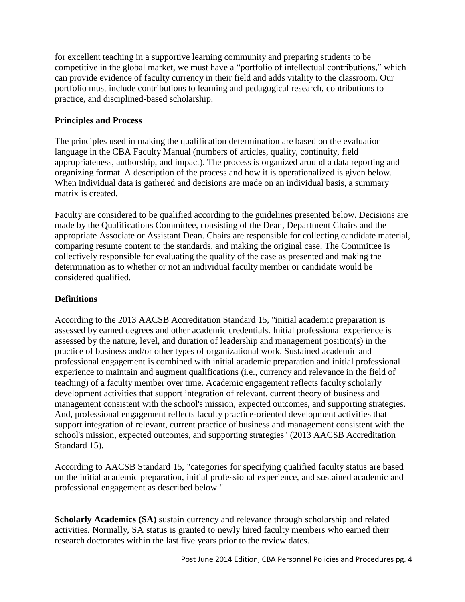for excellent teaching in a supportive learning community and preparing students to be competitive in the global market, we must have a "portfolio of intellectual contributions," which can provide evidence of faculty currency in their field and adds vitality to the classroom. Our portfolio must include contributions to learning and pedagogical research, contributions to practice, and disciplined-based scholarship.

# **Principles and Process**

The principles used in making the qualification determination are based on the evaluation language in the CBA Faculty Manual (numbers of articles, quality, continuity, field appropriateness, authorship, and impact). The process is organized around a data reporting and organizing format. A description of the process and how it is operationalized is given below. When individual data is gathered and decisions are made on an individual basis, a summary matrix is created.

Faculty are considered to be qualified according to the guidelines presented below. Decisions are made by the Qualifications Committee, consisting of the Dean, Department Chairs and the appropriate Associate or Assistant Dean. Chairs are responsible for collecting candidate material, comparing resume content to the standards, and making the original case. The Committee is collectively responsible for evaluating the quality of the case as presented and making the determination as to whether or not an individual faculty member or candidate would be considered qualified.

# **Definitions**

According to the 2013 AACSB Accreditation Standard 15, "initial academic preparation is assessed by earned degrees and other academic credentials. Initial professional experience is assessed by the nature, level, and duration of leadership and management position(s) in the practice of business and/or other types of organizational work. Sustained academic and professional engagement is combined with initial academic preparation and initial professional experience to maintain and augment qualifications (i.e., currency and relevance in the field of teaching) of a faculty member over time. Academic engagement reflects faculty scholarly development activities that support integration of relevant, current theory of business and management consistent with the school's mission, expected outcomes, and supporting strategies. And, professional engagement reflects faculty practice-oriented development activities that support integration of relevant, current practice of business and management consistent with the school's mission, expected outcomes, and supporting strategies" (2013 AACSB Accreditation Standard 15).

According to AACSB Standard 15, "categories for specifying qualified faculty status are based on the initial academic preparation, initial professional experience, and sustained academic and professional engagement as described below."

**Scholarly Academics (SA)** sustain currency and relevance through scholarship and related activities. Normally, SA status is granted to newly hired faculty members who earned their research doctorates within the last five years prior to the review dates.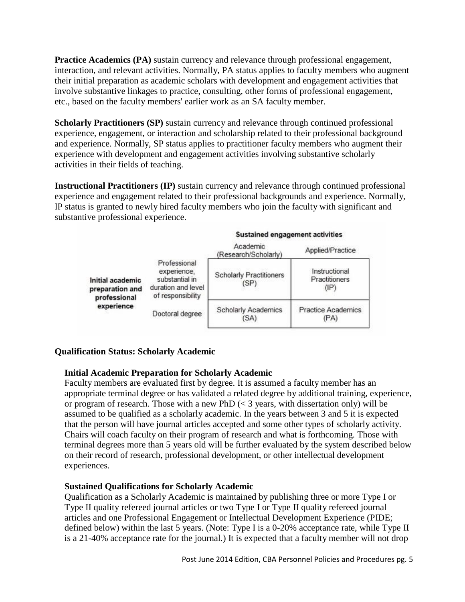**Practice Academics (PA)** sustain currency and relevance through professional engagement, interaction, and relevant activities. Normally, PA status applies to faculty members who augment their initial preparation as academic scholars with development and engagement activities that involve substantive linkages to practice, consulting, other forms of professional engagement, etc., based on the faculty members' earlier work as an SA faculty member.

**Scholarly Practitioners (SP)** sustain currency and relevance through continued professional experience, engagement, or interaction and scholarship related to their professional background and experience. Normally, SP status applies to practitioner faculty members who augment their experience with development and engagement activities involving substantive scholarly activities in their fields of teaching.

**Instructional Practitioners (IP)** sustain currency and relevance through continued professional experience and engagement related to their professional backgrounds and experience. Normally, IP status is granted to newly hired faculty members who join the faculty with significant and substantive professional experience.

|                                                     |                                                                                          | Sustained engagement activities        |                                                   |  |
|-----------------------------------------------------|------------------------------------------------------------------------------------------|----------------------------------------|---------------------------------------------------|--|
|                                                     |                                                                                          | Academic<br>(Research/Scholarly)       | Applied/Practice                                  |  |
| Initial academic<br>preparation and<br>professional | Professional<br>experience.<br>substantial in<br>duration and level<br>of responsibility | <b>Scholarly Practitioners</b><br>(SP) | Instructional<br>Practitioners<br>$(\mathsf{IP})$ |  |
| experience                                          | Doctoral degree                                                                          | <b>Scholarly Academics</b><br>(SA)     | <b>Practice Academics</b><br>(PA)                 |  |

# **Qualification Status: Scholarly Academic**

## **Initial Academic Preparation for Scholarly Academic**

Faculty members are evaluated first by degree. It is assumed a faculty member has an appropriate terminal degree or has validated a related degree by additional training, experience, or program of research. Those with a new PhD  $\ll$  3 years, with dissertation only) will be assumed to be qualified as a scholarly academic. In the years between 3 and 5 it is expected that the person will have journal articles accepted and some other types of scholarly activity. Chairs will coach faculty on their program of research and what is forthcoming. Those with terminal degrees more than 5 years old will be further evaluated by the system described below on their record of research, professional development, or other intellectual development experiences.

# **Sustained Qualifications for Scholarly Academic**

Qualification as a Scholarly Academic is maintained by publishing three or more Type I or Type II quality refereed journal articles or two Type I or Type II quality refereed journal articles and one Professional Engagement or Intellectual Development Experience (PIDE; defined below) within the last 5 years. (Note: Type I is a 0-20% acceptance rate, while Type II is a 21-40% acceptance rate for the journal.) It is expected that a faculty member will not drop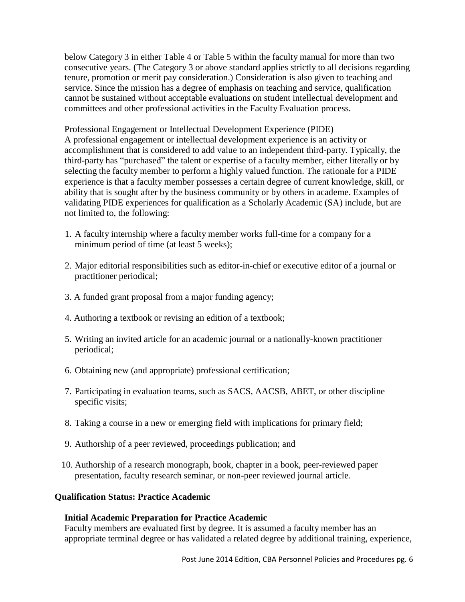below Category 3 in either Table 4 or Table 5 within the faculty manual for more than two consecutive years. (The Category 3 or above standard applies strictly to all decisions regarding tenure, promotion or merit pay consideration.) Consideration is also given to teaching and service. Since the mission has a degree of emphasis on teaching and service, qualification cannot be sustained without acceptable evaluations on student intellectual development and committees and other professional activities in the Faculty Evaluation process.

Professional Engagement or Intellectual Development Experience (PIDE) A professional engagement or intellectual development experience is an activity or accomplishment that is considered to add value to an independent third-party. Typically, the third-party has "purchased" the talent or expertise of a faculty member, either literally or by selecting the faculty member to perform a highly valued function. The rationale for a PIDE experience is that a faculty member possesses a certain degree of current knowledge, skill, or ability that is sought after by the business community or by others in academe. Examples of validating PIDE experiences for qualification as a Scholarly Academic (SA) include, but are not limited to, the following:

- 1. A faculty internship where a faculty member works full-time for a company for a minimum period of time (at least 5 weeks);
- 2. Major editorial responsibilities such as editor-in-chief or executive editor of a journal or practitioner periodical;
- 3. A funded grant proposal from a major funding agency;
- 4. Authoring a textbook or revising an edition of a textbook;
- 5. Writing an invited article for an academic journal or a nationally-known practitioner periodical;
- 6. Obtaining new (and appropriate) professional certification;
- 7. Participating in evaluation teams, such as SACS, AACSB, ABET, or other discipline specific visits;
- 8. Taking a course in a new or emerging field with implications for primary field;
- 9. Authorship of a peer reviewed, proceedings publication; and
- 10. Authorship of a research monograph, book, chapter in a book, peer-reviewed paper presentation, faculty research seminar, or non-peer reviewed journal article.

## **Qualification Status: Practice Academic**

## **Initial Academic Preparation for Practice Academic**

Faculty members are evaluated first by degree. It is assumed a faculty member has an appropriate terminal degree or has validated a related degree by additional training, experience,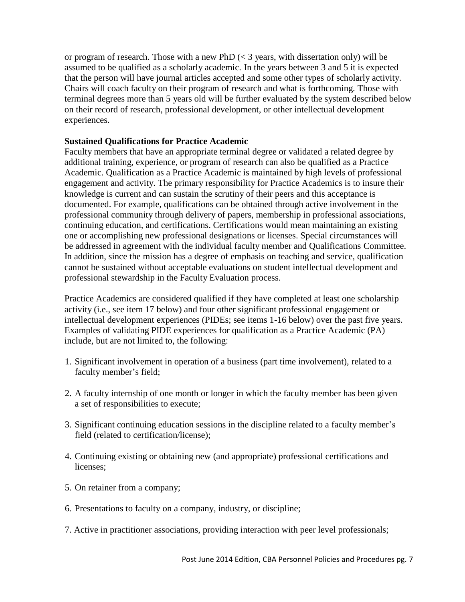or program of research. Those with a new PhD  $\ll$  3 years, with dissertation only) will be assumed to be qualified as a scholarly academic. In the years between 3 and 5 it is expected that the person will have journal articles accepted and some other types of scholarly activity. Chairs will coach faculty on their program of research and what is forthcoming. Those with terminal degrees more than 5 years old will be further evaluated by the system described below on their record of research, professional development, or other intellectual development experiences.

## **Sustained Qualifications for Practice Academic**

Faculty members that have an appropriate terminal degree or validated a related degree by additional training, experience, or program of research can also be qualified as a Practice Academic. Qualification as a Practice Academic is maintained by high levels of professional engagement and activity. The primary responsibility for Practice Academics is to insure their knowledge is current and can sustain the scrutiny of their peers and this acceptance is documented. For example, qualifications can be obtained through active involvement in the professional community through delivery of papers, membership in professional associations, continuing education, and certifications. Certifications would mean maintaining an existing one or accomplishing new professional designations or licenses. Special circumstances will be addressed in agreement with the individual faculty member and Qualifications Committee. In addition, since the mission has a degree of emphasis on teaching and service, qualification cannot be sustained without acceptable evaluations on student intellectual development and professional stewardship in the Faculty Evaluation process.

Practice Academics are considered qualified if they have completed at least one scholarship activity (i.e., see item 17 below) and four other significant professional engagement or intellectual development experiences (PIDEs; see items 1-16 below) over the past five years. Examples of validating PIDE experiences for qualification as a Practice Academic (PA) include, but are not limited to, the following:

- 1. Significant involvement in operation of a business (part time involvement), related to a faculty member's field;
- 2. A faculty internship of one month or longer in which the faculty member has been given a set of responsibilities to execute;
- 3. Significant continuing education sessions in the discipline related to a faculty member's field (related to certification/license);
- 4. Continuing existing or obtaining new (and appropriate) professional certifications and licenses;
- 5. On retainer from a company;
- 6. Presentations to faculty on a company, industry, or discipline;
- 7. Active in practitioner associations, providing interaction with peer level professionals;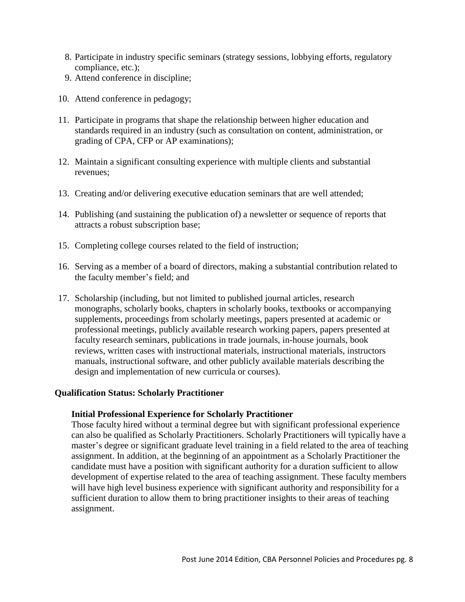- 8. Participate in industry specific seminars (strategy sessions, lobbying efforts, regulatory compliance, etc.);
- 9. Attend conference in discipline;
- 10. Attend conference in pedagogy;
- 11. Participate in programs that shape the relationship between higher education and standards required in an industry (such as consultation on content, administration, or grading of CPA, CFP or AP examinations);
- 12. Maintain a significant consulting experience with multiple clients and substantial revenues;
- 13. Creating and/or delivering executive education seminars that are well attended;
- 14. Publishing (and sustaining the publication of) a newsletter or sequence of reports that attracts a robust subscription base;
- 15. Completing college courses related to the field of instruction;
- 16. Serving as a member of a board of directors, making a substantial contribution related to the faculty member's field; and
- 17. Scholarship (including, but not limited to published journal articles, research monographs, scholarly books, chapters in scholarly books, textbooks or accompanying supplements, proceedings from scholarly meetings, papers presented at academic or professional meetings, publicly available research working papers, papers presented at faculty research seminars, publications in trade journals, in-house journals, book reviews, written cases with instructional materials, instructional materials, instructors manuals, instructional software, and other publicly available materials describing the design and implementation of new curricula or courses).

#### **Qualification Status: Scholarly Practitioner**

#### **Initial Professional Experience for Scholarly Practitioner**

Those faculty hired without a terminal degree but with significant professional experience can also be qualified as Scholarly Practitioners. Scholarly Practitioners will typically have a master's degree or significant graduate level training in a field related to the area of teaching assignment. In addition, at the beginning of an appointment as a Scholarly Practitioner the candidate must have a position with significant authority for a duration sufficient to allow development of expertise related to the area of teaching assignment. These faculty members will have high level business experience with significant authority and responsibility for a sufficient duration to allow them to bring practitioner insights to their areas of teaching assignment.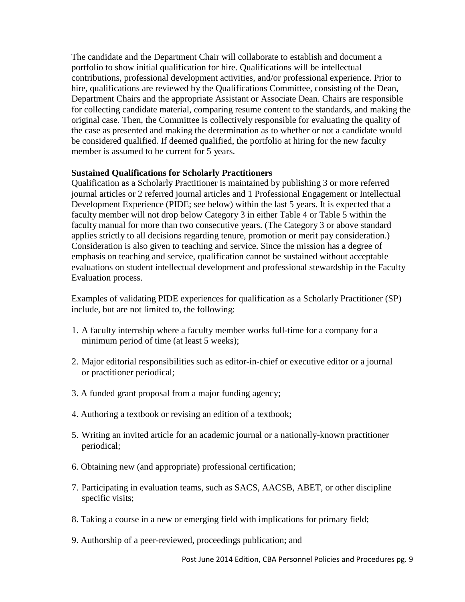The candidate and the Department Chair will collaborate to establish and document a portfolio to show initial qualification for hire. Qualifications will be intellectual contributions, professional development activities, and/or professional experience. Prior to hire, qualifications are reviewed by the Qualifications Committee, consisting of the Dean, Department Chairs and the appropriate Assistant or Associate Dean. Chairs are responsible for collecting candidate material, comparing resume content to the standards, and making the original case. Then, the Committee is collectively responsible for evaluating the quality of the case as presented and making the determination as to whether or not a candidate would be considered qualified. If deemed qualified, the portfolio at hiring for the new faculty member is assumed to be current for 5 years.

## **Sustained Qualifications for Scholarly Practitioners**

Qualification as a Scholarly Practitioner is maintained by publishing 3 or more referred journal articles or 2 referred journal articles and 1 Professional Engagement or Intellectual Development Experience (PIDE; see below) within the last 5 years. It is expected that a faculty member will not drop below Category 3 in either Table 4 or Table 5 within the faculty manual for more than two consecutive years. (The Category 3 or above standard applies strictly to all decisions regarding tenure, promotion or merit pay consideration.) Consideration is also given to teaching and service. Since the mission has a degree of emphasis on teaching and service, qualification cannot be sustained without acceptable evaluations on student intellectual development and professional stewardship in the Faculty Evaluation process.

Examples of validating PIDE experiences for qualification as a Scholarly Practitioner (SP) include, but are not limited to, the following:

- 1. A faculty internship where a faculty member works full-time for a company for a minimum period of time (at least 5 weeks);
- 2. Major editorial responsibilities such as editor-in-chief or executive editor or a journal or practitioner periodical;
- 3. A funded grant proposal from a major funding agency;
- 4. Authoring a textbook or revising an edition of a textbook;
- 5. Writing an invited article for an academic journal or a nationally-known practitioner periodical;
- 6. Obtaining new (and appropriate) professional certification;
- 7. Participating in evaluation teams, such as SACS, AACSB, ABET, or other discipline specific visits;
- 8. Taking a course in a new or emerging field with implications for primary field;
- 9. Authorship of a peer-reviewed, proceedings publication; and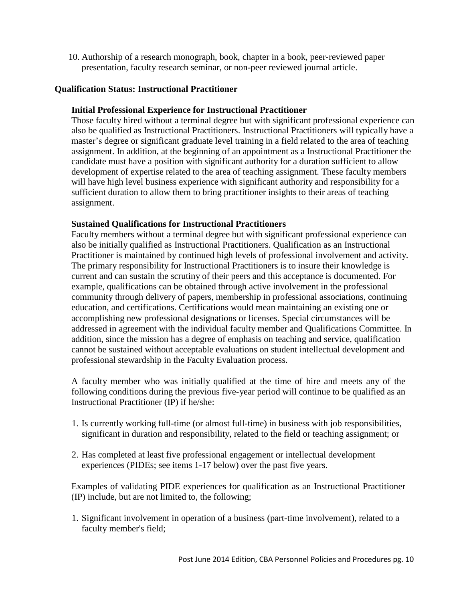10. Authorship of a research monograph, book, chapter in a book, peer-reviewed paper presentation, faculty research seminar, or non-peer reviewed journal article.

## **Qualification Status: Instructional Practitioner**

#### **Initial Professional Experience for Instructional Practitioner**

Those faculty hired without a terminal degree but with significant professional experience can also be qualified as Instructional Practitioners. Instructional Practitioners will typically have a master's degree or significant graduate level training in a field related to the area of teaching assignment. In addition, at the beginning of an appointment as a Instructional Practitioner the candidate must have a position with significant authority for a duration sufficient to allow development of expertise related to the area of teaching assignment. These faculty members will have high level business experience with significant authority and responsibility for a sufficient duration to allow them to bring practitioner insights to their areas of teaching assignment.

## **Sustained Qualifications for Instructional Practitioners**

Faculty members without a terminal degree but with significant professional experience can also be initially qualified as Instructional Practitioners. Qualification as an Instructional Practitioner is maintained by continued high levels of professional involvement and activity. The primary responsibility for Instructional Practitioners is to insure their knowledge is current and can sustain the scrutiny of their peers and this acceptance is documented. For example, qualifications can be obtained through active involvement in the professional community through delivery of papers, membership in professional associations, continuing education, and certifications. Certifications would mean maintaining an existing one or accomplishing new professional designations or licenses. Special circumstances will be addressed in agreement with the individual faculty member and Qualifications Committee. In addition, since the mission has a degree of emphasis on teaching and service, qualification cannot be sustained without acceptable evaluations on student intellectual development and professional stewardship in the Faculty Evaluation process.

A faculty member who was initially qualified at the time of hire and meets any of the following conditions during the previous five-year period will continue to be qualified as an Instructional Practitioner (IP) if he/she:

- 1. Is currently working full-time (or almost full-time) in business with job responsibilities, significant in duration and responsibility, related to the field or teaching assignment; or
- 2. Has completed at least five professional engagement or intellectual development experiences (PIDEs; see items 1-17 below) over the past five years.

Examples of validating PIDE experiences for qualification as an Instructional Practitioner (IP) include, but are not limited to, the following;

1. Significant involvement in operation of a business (part-time involvement), related to a faculty member's field;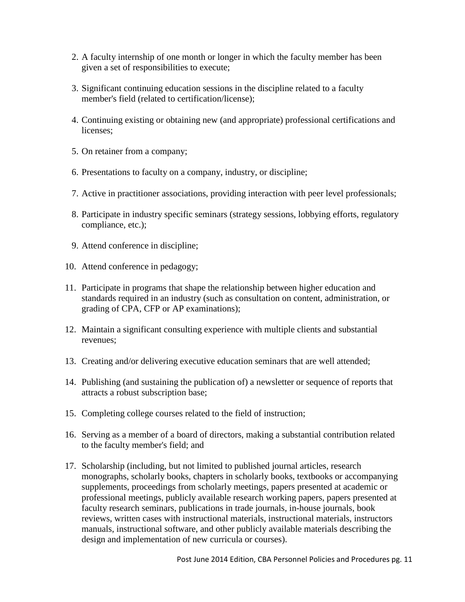- 2. A faculty internship of one month or longer in which the faculty member has been given a set of responsibilities to execute;
- 3. Significant continuing education sessions in the discipline related to a faculty member's field (related to certification/license);
- 4. Continuing existing or obtaining new (and appropriate) professional certifications and licenses;
- 5. On retainer from a company;
- 6. Presentations to faculty on a company, industry, or discipline;
- 7. Active in practitioner associations, providing interaction with peer level professionals;
- 8. Participate in industry specific seminars (strategy sessions, lobbying efforts, regulatory compliance, etc.);
- 9. Attend conference in discipline;
- 10. Attend conference in pedagogy;
- 11. Participate in programs that shape the relationship between higher education and standards required in an industry (such as consultation on content, administration, or grading of CPA, CFP or AP examinations);
- 12. Maintain a significant consulting experience with multiple clients and substantial revenues;
- 13. Creating and/or delivering executive education seminars that are well attended;
- 14. Publishing (and sustaining the publication of) a newsletter or sequence of reports that attracts a robust subscription base;
- 15. Completing college courses related to the field of instruction;
- 16. Serving as a member of a board of directors, making a substantial contribution related to the faculty member's field; and
- 17. Scholarship (including, but not limited to published journal articles, research monographs, scholarly books, chapters in scholarly books, textbooks or accompanying supplements, proceedings from scholarly meetings, papers presented at academic or professional meetings, publicly available research working papers, papers presented at faculty research seminars, publications in trade journals, in-house journals, book reviews, written cases with instructional materials, instructional materials, instructors manuals, instructional software, and other publicly available materials describing the design and implementation of new curricula or courses).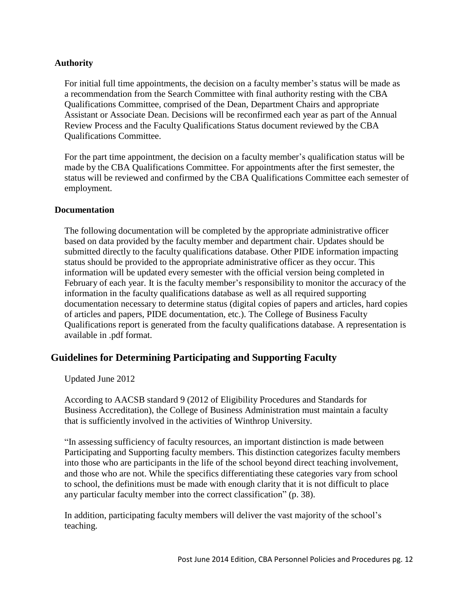## **Authority**

For initial full time appointments, the decision on a faculty member's status will be made as a recommendation from the Search Committee with final authority resting with the CBA Qualifications Committee, comprised of the Dean, Department Chairs and appropriate Assistant or Associate Dean. Decisions will be reconfirmed each year as part of the Annual Review Process and the Faculty Qualifications Status document reviewed by the CBA Qualifications Committee.

For the part time appointment, the decision on a faculty member's qualification status will be made by the CBA Qualifications Committee. For appointments after the first semester, the status will be reviewed and confirmed by the CBA Qualifications Committee each semester of employment.

#### **Documentation**

The following documentation will be completed by the appropriate administrative officer based on data provided by the faculty member and department chair. Updates should be submitted directly to the faculty qualifications database. Other PIDE information impacting status should be provided to the appropriate administrative officer as they occur. This information will be updated every semester with the official version being completed in February of each year. It is the faculty member's responsibility to monitor the accuracy of the information in the faculty qualifications database as well as all required supporting documentation necessary to determine status (digital copies of papers and articles, hard copies of articles and papers, PIDE documentation, etc.). The College of Business Faculty Qualifications report is generated from the faculty qualifications database. A representation is available in .pdf format.

# **Guidelines for Determining Participating and Supporting Faculty**

Updated June 2012

According to AACSB standard 9 (2012 of Eligibility Procedures and Standards for Business Accreditation), the College of Business Administration must maintain a faculty that is sufficiently involved in the activities of Winthrop University.

"In assessing sufficiency of faculty resources, an important distinction is made between Participating and Supporting faculty members. This distinction categorizes faculty members into those who are participants in the life of the school beyond direct teaching involvement, and those who are not. While the specifics differentiating these categories vary from school to school, the definitions must be made with enough clarity that it is not difficult to place any particular faculty member into the correct classification" (p. 38).

In addition, participating faculty members will deliver the vast majority of the school's teaching.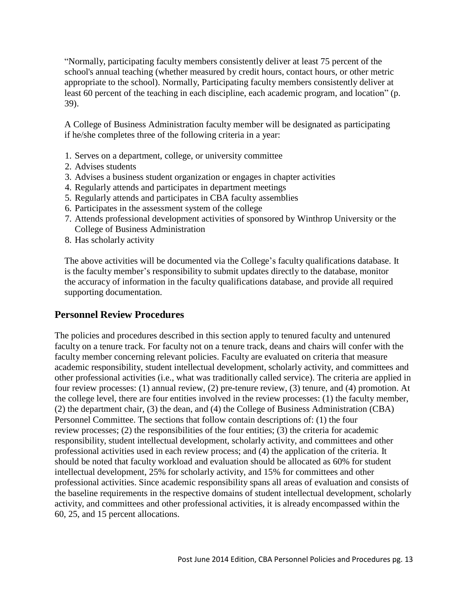"Normally, participating faculty members consistently deliver at least 75 percent of the school's annual teaching (whether measured by credit hours, contact hours, or other metric appropriate to the school). Normally, Participating faculty members consistently deliver at least 60 percent of the teaching in each discipline, each academic program, and location" (p. 39).

A College of Business Administration faculty member will be designated as participating if he/she completes three of the following criteria in a year:

- 1. Serves on a department, college, or university committee
- 2. Advises students
- 3. Advises a business student organization or engages in chapter activities
- 4. Regularly attends and participates in department meetings
- 5. Regularly attends and participates in CBA faculty assemblies
- 6. Participates in the assessment system of the college
- 7. Attends professional development activities of sponsored by Winthrop University or the College of Business Administration
- 8. Has scholarly activity

The above activities will be documented via the College's faculty qualifications database. It is the faculty member's responsibility to submit updates directly to the database, monitor the accuracy of information in the faculty qualifications database, and provide all required supporting documentation.

# **Personnel Review Procedures**

The policies and procedures described in this section apply to tenured faculty and untenured faculty on a tenure track. For faculty not on a tenure track, deans and chairs will confer with the faculty member concerning relevant policies. Faculty are evaluated on criteria that measure academic responsibility, student intellectual development, scholarly activity, and committees and other professional activities (i.e., what was traditionally called service). The criteria are applied in four review processes: (1) annual review, (2) pre-tenure review, (3) tenure, and (4) promotion. At the college level, there are four entities involved in the review processes: (1) the faculty member, (2) the department chair, (3) the dean, and (4) the College of Business Administration (CBA) Personnel Committee. The sections that follow contain descriptions of: (1) the four review processes; (2) the responsibilities of the four entities; (3) the criteria for academic responsibility, student intellectual development, scholarly activity, and committees and other professional activities used in each review process; and (4) the application of the criteria. It should be noted that faculty workload and evaluation should be allocated as 60% for student intellectual development, 25% for scholarly activity, and 15% for committees and other professional activities. Since academic responsibility spans all areas of evaluation and consists of the baseline requirements in the respective domains of student intellectual development, scholarly activity, and committees and other professional activities, it is already encompassed within the 60, 25, and 15 percent allocations.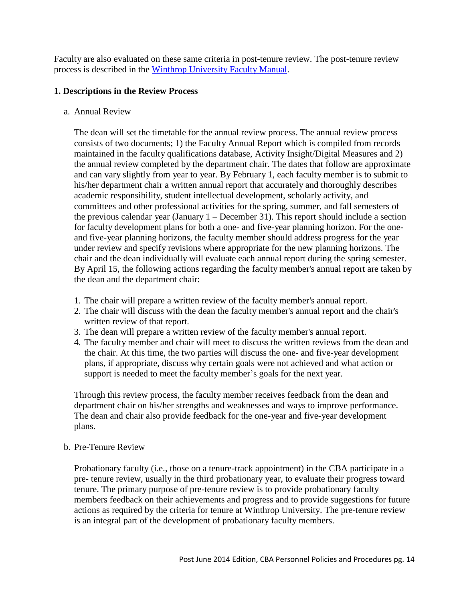Faculty are also evaluated on these same criteria in post-tenure review. The post-tenure review process is described in the Winthrop [University](http://www.winthrop.edu/uploadedFiles/facultyconference/FacultyManual.pdf) Faculty Manual.

## **1. Descriptions in the Review Process**

a. Annual Review

The dean will set the timetable for the annual review process. The annual review process consists of two documents; 1) the Faculty Annual Report which is compiled from records maintained in the faculty qualifications database, Activity Insight/Digital Measures and 2) the annual review completed by the department chair. The dates that follow are approximate and can vary slightly from year to year. By February 1, each faculty member is to submit to his/her department chair a written annual report that accurately and thoroughly describes academic responsibility, student intellectual development, scholarly activity, and committees and other professional activities for the spring, summer, and fall semesters of the previous calendar year (January 1 – December 31). This report should include a section for faculty development plans for both a one- and five-year planning horizon. For the oneand five-year planning horizons, the faculty member should address progress for the year under review and specify revisions where appropriate for the new planning horizons. The chair and the dean individually will evaluate each annual report during the spring semester. By April 15, the following actions regarding the faculty member's annual report are taken by the dean and the department chair:

- 1. The chair will prepare a written review of the faculty member's annual report.
- 2. The chair will discuss with the dean the faculty member's annual report and the chair's written review of that report.
- 3. The dean will prepare a written review of the faculty member's annual report.
- 4. The faculty member and chair will meet to discuss the written reviews from the dean and the chair. At this time, the two parties will discuss the one- and five-year development plans, if appropriate, discuss why certain goals were not achieved and what action or support is needed to meet the faculty member's goals for the next year.

Through this review process, the faculty member receives feedback from the dean and department chair on his/her strengths and weaknesses and ways to improve performance. The dean and chair also provide feedback for the one-year and five-year development plans.

## b. Pre-Tenure Review

Probationary faculty (i.e., those on a tenure-track appointment) in the CBA participate in a pre- tenure review, usually in the third probationary year, to evaluate their progress toward tenure. The primary purpose of pre-tenure review is to provide probationary faculty members feedback on their achievements and progress and to provide suggestions for future actions as required by the criteria for tenure at Winthrop University. The pre-tenure review is an integral part of the development of probationary faculty members.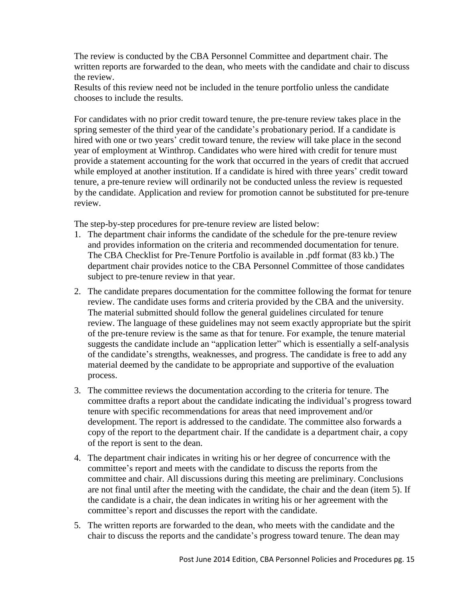The review is conducted by the CBA Personnel Committee and department chair. The written reports are forwarded to the dean, who meets with the candidate and chair to discuss the review.

Results of this review need not be included in the tenure portfolio unless the candidate chooses to include the results.

For candidates with no prior credit toward tenure, the pre-tenure review takes place in the spring semester of the third year of the candidate's probationary period. If a candidate is hired with one or two years' credit toward tenure, the review will take place in the second year of employment at Winthrop. Candidates who were hired with credit for tenure must provide a statement accounting for the work that occurred in the years of credit that accrued while employed at another institution. If a candidate is hired with three years' credit toward tenure, a pre-tenure review will ordinarily not be conducted unless the review is requested by the candidate. Application and review for promotion cannot be substituted for pre-tenure review.

The step-by-step procedures for pre-tenure review are listed below:

- 1. The department chair informs the candidate of the schedule for the pre-tenure review and provides information on the criteria and recommended documentation for tenure. The CBA [Checklist for Pre-Tenure Portfolio i](http://www.winthrop.edu/uploadedFiles/cba/facultymanual/ChecklistforPretenure.pdf)s available in .pdf format (83 kb.) The department chair provides notice to the CBA Personnel Committee of those candidates subject to pre-tenure review in that year.
- 2. The candidate prepares documentation for the committee following the format for tenure review. The candidate uses forms and criteria provided by the CBA and the university. The material submitted should follow the general guidelines circulated for tenure review. The language of these guidelines may not seem exactly appropriate but the spirit of the pre-tenure review is the same as that for tenure. For example, the tenure material suggests the candidate include an "application letter" which is essentially a self-analysis of the candidate's strengths, weaknesses, and progress. The candidate is free to add any material deemed by the candidate to be appropriate and supportive of the evaluation process.
- 3. The committee reviews the documentation according to the criteria for tenure. The committee drafts a report about the candidate indicating the individual's progress toward tenure with specific recommendations for areas that need improvement and/or development. The report is addressed to the candidate. The committee also forwards a copy of the report to the department chair. If the candidate is a department chair, a copy of the report is sent to the dean.
- 4. The department chair indicates in writing his or her degree of concurrence with the committee's report and meets with the candidate to discuss the reports from the committee and chair. All discussions during this meeting are preliminary. Conclusions are not final until after the meeting with the candidate, the chair and the dean (item 5). If the candidate is a chair, the dean indicates in writing his or her agreement with the committee's report and discusses the report with the candidate.
- 5. The written reports are forwarded to the dean, who meets with the candidate and the chair to discuss the reports and the candidate's progress toward tenure. The dean may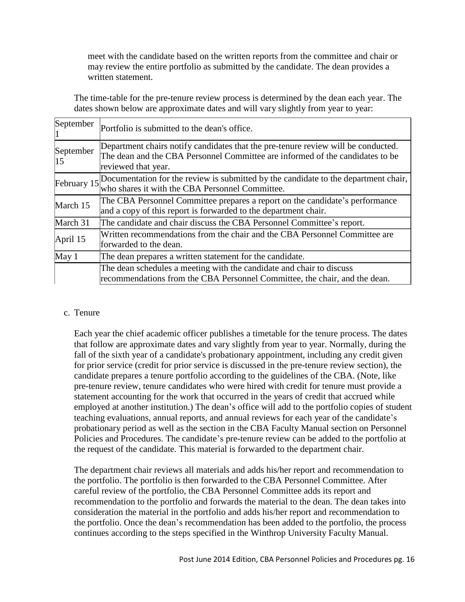meet with the candidate based on the written reports from the committee and chair or may review the entire portfolio as submitted by the candidate. The dean provides a written statement.

The time-table for the pre-tenure review process is determined by the dean each year. The dates shown below are approximate dates and will vary slightly from year to year:

| September       | Portfolio is submitted to the dean's office.                                                                                                                                              |
|-----------------|-------------------------------------------------------------------------------------------------------------------------------------------------------------------------------------------|
| September<br>15 | Department chairs notify candidates that the pre-tenure review will be conducted.<br>The dean and the CBA Personnel Committee are informed of the candidates to be<br>reviewed that year. |
| February 15     | Documentation for the review is submitted by the candidate to the department chair,<br>who shares it with the CBA Personnel Committee.                                                    |
| March 15        | The CBA Personnel Committee prepares a report on the candidate's performance<br>and a copy of this report is forwarded to the department chair.                                           |
| March 31        | The candidate and chair discuss the CBA Personnel Committee's report.                                                                                                                     |
| April $15$      | Written recommendations from the chair and the CBA Personnel Committee are<br>forwarded to the dean.                                                                                      |
| $\text{May } 1$ | The dean prepares a written statement for the candidate.                                                                                                                                  |
|                 | The dean schedules a meeting with the candidate and chair to discuss<br>recommendations from the CBA Personnel Committee, the chair, and the dean.                                        |

## c. Tenure

Each year the chief academic officer publishes a timetable for the tenure process. The dates that follow are approximate dates and vary slightly from year to year. Normally, during the fall of the sixth year of a candidate's probationary appointment, including any credit given for prior service (credit for prior service is discussed in the pre-tenure review section), the candidate prepares a tenure portfolio according to the guidelines of the CBA. (Note, like pre-tenure review, tenure candidates who were hired with credit for tenure must provide a statement accounting for the work that occurred in the years of credit that accrued while employed at another institution.) The dean's office will add to the portfolio copies of student teaching evaluations, annual reports, and annual reviews for each year of the candidate's probationary period as well as the section in the CBA Faculty Manual section on Personnel Policies and Procedures. The candidate's pre-tenure review can be added to the portfolio at the request of the candidate. This material is forwarded to the department chair.

The department chair reviews all materials and adds his/her report and recommendation to the portfolio. The portfolio is then forwarded to the CBA Personnel Committee. After careful review of the portfolio, the CBA Personnel Committee adds its report and recommendation to the portfolio and forwards the material to the dean. The dean takes into consideration the material in the portfolio and adds his/her report and recommendation to the portfolio. Once the dean's recommendation has been added to the portfolio, the process continues according to the steps specified in the Winthrop University Faculty Manual.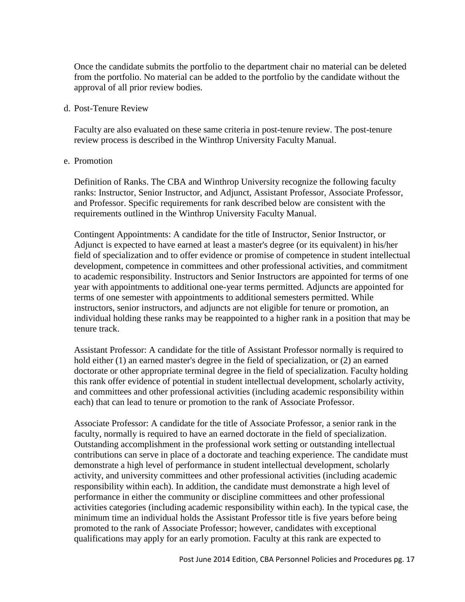Once the candidate submits the portfolio to the department chair no material can be deleted from the portfolio. No material can be added to the portfolio by the candidate without the approval of all prior review bodies.

#### d. Post-Tenure Review

Faculty are also evaluated on these same criteria in post-tenure review. The post-tenure review process is described in the Winthrop University Faculty Manual.

#### e. Promotion

Definition of Ranks. The CBA and Winthrop University recognize the following faculty ranks: Instructor, Senior Instructor, and Adjunct, Assistant Professor, Associate Professor, and Professor. Specific requirements for rank described below are consistent with the requirements outlined in the Winthrop University Faculty Manual.

Contingent Appointments: A candidate for the title of Instructor, Senior Instructor, or Adjunct is expected to have earned at least a master's degree (or its equivalent) in his/her field of specialization and to offer evidence or promise of competence in student intellectual development, competence in committees and other professional activities, and commitment to academic responsibility. Instructors and Senior Instructors are appointed for terms of one year with appointments to additional one-year terms permitted. Adjuncts are appointed for terms of one semester with appointments to additional semesters permitted. While instructors, senior instructors, and adjuncts are not eligible for tenure or promotion, an individual holding these ranks may be reappointed to a higher rank in a position that may be tenure track.

Assistant Professor: A candidate for the title of Assistant Professor normally is required to hold either (1) an earned master's degree in the field of specialization, or (2) an earned doctorate or other appropriate terminal degree in the field of specialization. Faculty holding this rank offer evidence of potential in student intellectual development, scholarly activity, and committees and other professional activities (including academic responsibility within each) that can lead to tenure or promotion to the rank of Associate Professor.

Associate Professor: A candidate for the title of Associate Professor, a senior rank in the faculty, normally is required to have an earned doctorate in the field of specialization. Outstanding accomplishment in the professional work setting or outstanding intellectual contributions can serve in place of a doctorate and teaching experience. The candidate must demonstrate a high level of performance in student intellectual development, scholarly activity, and university committees and other professional activities (including academic responsibility within each). In addition, the candidate must demonstrate a high level of performance in either the community or discipline committees and other professional activities categories (including academic responsibility within each). In the typical case, the minimum time an individual holds the Assistant Professor title is five years before being promoted to the rank of Associate Professor; however, candidates with exceptional qualifications may apply for an early promotion. Faculty at this rank are expected to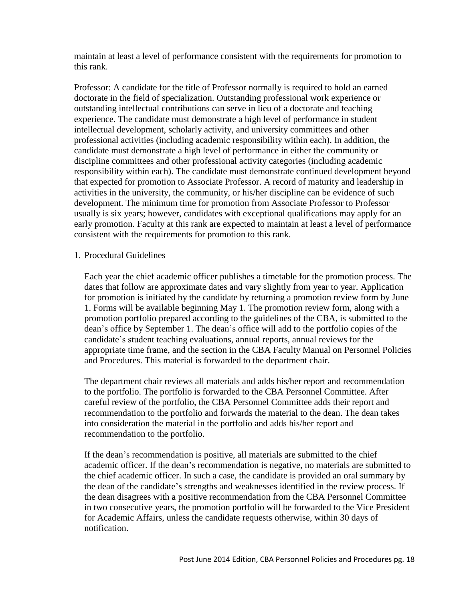maintain at least a level of performance consistent with the requirements for promotion to this rank.

Professor: A candidate for the title of Professor normally is required to hold an earned doctorate in the field of specialization. Outstanding professional work experience or outstanding intellectual contributions can serve in lieu of a doctorate and teaching experience. The candidate must demonstrate a high level of performance in student intellectual development, scholarly activity, and university committees and other professional activities (including academic responsibility within each). In addition, the candidate must demonstrate a high level of performance in either the community or discipline committees and other professional activity categories (including academic responsibility within each). The candidate must demonstrate continued development beyond that expected for promotion to Associate Professor. A record of maturity and leadership in activities in the university, the community, or his/her discipline can be evidence of such development. The minimum time for promotion from Associate Professor to Professor usually is six years; however, candidates with exceptional qualifications may apply for an early promotion. Faculty at this rank are expected to maintain at least a level of performance consistent with the requirements for promotion to this rank.

## 1. Procedural Guidelines

Each year the chief academic officer publishes a timetable for the promotion process. The dates that follow are approximate dates and vary slightly from year to year. Application for promotion is initiated by the candidate by returning a promotion review form by June 1. Forms will be available beginning May 1. The promotion review form, along with a promotion portfolio prepared according to the guidelines of the CBA, is submitted to the dean's office by September 1. The dean's office will add to the portfolio copies of the candidate's student teaching evaluations, annual reports, annual reviews for the appropriate time frame, and the section in the CBA Faculty Manual on Personnel Policies and Procedures. This material is forwarded to the department chair.

The department chair reviews all materials and adds his/her report and recommendation to the portfolio. The portfolio is forwarded to the CBA Personnel Committee. After careful review of the portfolio, the CBA Personnel Committee adds their report and recommendation to the portfolio and forwards the material to the dean. The dean takes into consideration the material in the portfolio and adds his/her report and recommendation to the portfolio.

If the dean's recommendation is positive, all materials are submitted to the chief academic officer. If the dean's recommendation is negative, no materials are submitted to the chief academic officer. In such a case, the candidate is provided an oral summary by the dean of the candidate's strengths and weaknesses identified in the review process. If the dean disagrees with a positive recommendation from the CBA Personnel Committee in two consecutive years, the promotion portfolio will be forwarded to the Vice President for Academic Affairs, unless the candidate requests otherwise, within 30 days of notification.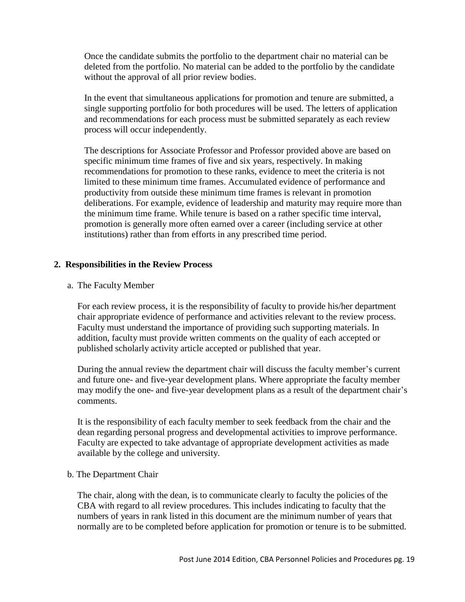Once the candidate submits the portfolio to the department chair no material can be deleted from the portfolio. No material can be added to the portfolio by the candidate without the approval of all prior review bodies.

In the event that simultaneous applications for promotion and tenure are submitted, a single supporting portfolio for both procedures will be used. The letters of application and recommendations for each process must be submitted separately as each review process will occur independently.

The descriptions for Associate Professor and Professor provided above are based on specific minimum time frames of five and six years, respectively. In making recommendations for promotion to these ranks, evidence to meet the criteria is not limited to these minimum time frames. Accumulated evidence of performance and productivity from outside these minimum time frames is relevant in promotion deliberations. For example, evidence of leadership and maturity may require more than the minimum time frame. While tenure is based on a rather specific time interval, promotion is generally more often earned over a career (including service at other institutions) rather than from efforts in any prescribed time period.

## **2. Responsibilities in the Review Process**

a. The Faculty Member

For each review process, it is the responsibility of faculty to provide his/her department chair appropriate evidence of performance and activities relevant to the review process. Faculty must understand the importance of providing such supporting materials. In addition, faculty must provide written comments on the quality of each accepted or published scholarly activity article accepted or published that year.

During the annual review the department chair will discuss the faculty member's current and future one- and five-year development plans. Where appropriate the faculty member may modify the one- and five-year development plans as a result of the department chair's comments.

It is the responsibility of each faculty member to seek feedback from the chair and the dean regarding personal progress and developmental activities to improve performance. Faculty are expected to take advantage of appropriate development activities as made available by the college and university.

## b. The Department Chair

The chair, along with the dean, is to communicate clearly to faculty the policies of the CBA with regard to all review procedures. This includes indicating to faculty that the numbers of years in rank listed in this document are the minimum number of years that normally are to be completed before application for promotion or tenure is to be submitted.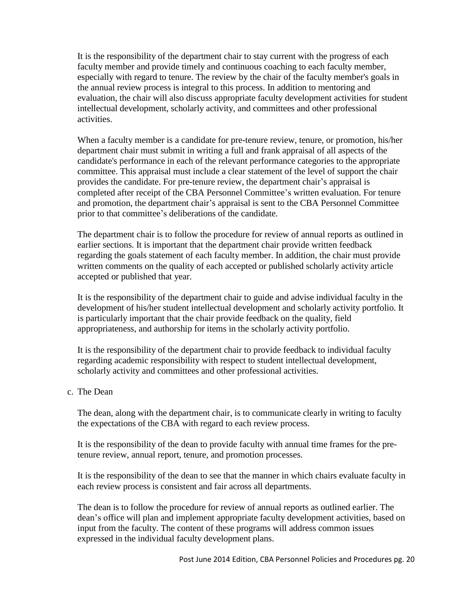It is the responsibility of the department chair to stay current with the progress of each faculty member and provide timely and continuous coaching to each faculty member, especially with regard to tenure. The review by the chair of the faculty member's goals in the annual review process is integral to this process. In addition to mentoring and evaluation, the chair will also discuss appropriate faculty development activities for student intellectual development, scholarly activity, and committees and other professional activities.

When a faculty member is a candidate for pre-tenure review, tenure, or promotion, his/her department chair must submit in writing a full and frank appraisal of all aspects of the candidate's performance in each of the relevant performance categories to the appropriate committee. This appraisal must include a clear statement of the level of support the chair provides the candidate. For pre-tenure review, the department chair's appraisal is completed after receipt of the CBA Personnel Committee's written evaluation. For tenure and promotion, the department chair's appraisal is sent to the CBA Personnel Committee prior to that committee's deliberations of the candidate.

The department chair is to follow the procedure for review of annual reports as outlined in earlier sections. It is important that the department chair provide written feedback regarding the goals statement of each faculty member. In addition, the chair must provide written comments on the quality of each accepted or published scholarly activity article accepted or published that year.

It is the responsibility of the department chair to guide and advise individual faculty in the development of his/her student intellectual development and scholarly activity portfolio. It is particularly important that the chair provide feedback on the quality, field appropriateness, and authorship for items in the scholarly activity portfolio.

It is the responsibility of the department chair to provide feedback to individual faculty regarding academic responsibility with respect to student intellectual development, scholarly activity and committees and other professional activities.

## c. The Dean

The dean, along with the department chair, is to communicate clearly in writing to faculty the expectations of the CBA with regard to each review process.

It is the responsibility of the dean to provide faculty with annual time frames for the pretenure review, annual report, tenure, and promotion processes.

It is the responsibility of the dean to see that the manner in which chairs evaluate faculty in each review process is consistent and fair across all departments.

The dean is to follow the procedure for review of annual reports as outlined earlier. The dean's office will plan and implement appropriate faculty development activities, based on input from the faculty. The content of these programs will address common issues expressed in the individual faculty development plans.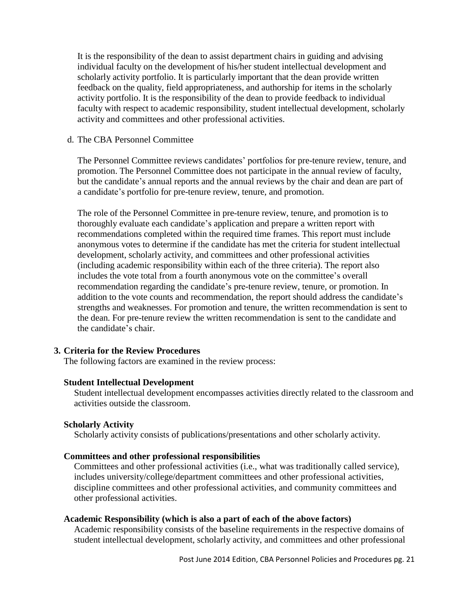It is the responsibility of the dean to assist department chairs in guiding and advising individual faculty on the development of his/her student intellectual development and scholarly activity portfolio. It is particularly important that the dean provide written feedback on the quality, field appropriateness, and authorship for items in the scholarly activity portfolio. It is the responsibility of the dean to provide feedback to individual faculty with respect to academic responsibility, student intellectual development, scholarly activity and committees and other professional activities.

#### d. The CBA Personnel Committee

The Personnel Committee reviews candidates' portfolios for pre-tenure review, tenure, and promotion. The Personnel Committee does not participate in the annual review of faculty, but the candidate's annual reports and the annual reviews by the chair and dean are part of a candidate's portfolio for pre-tenure review, tenure, and promotion.

The role of the Personnel Committee in pre-tenure review, tenure, and promotion is to thoroughly evaluate each candidate's application and prepare a written report with recommendations completed within the required time frames. This report must include anonymous votes to determine if the candidate has met the criteria for student intellectual development, scholarly activity, and committees and other professional activities (including academic responsibility within each of the three criteria). The report also includes the vote total from a fourth anonymous vote on the committee's overall recommendation regarding the candidate's pre-tenure review, tenure, or promotion. In addition to the vote counts and recommendation, the report should address the candidate's strengths and weaknesses. For promotion and tenure, the written recommendation is sent to the dean. For pre-tenure review the written recommendation is sent to the candidate and the candidate's chair.

## **3. Criteria for the Review Procedures**

The following factors are examined in the review process:

## **Student Intellectual Development**

Student intellectual development encompasses activities directly related to the classroom and activities outside the classroom.

## **Scholarly Activity**

Scholarly activity consists of publications/presentations and other scholarly activity.

#### **Committees and other professional responsibilities**

Committees and other professional activities (i.e., what was traditionally called service), includes university/college/department committees and other professional activities, discipline committees and other professional activities, and community committees and other professional activities.

## **Academic Responsibility (which is also a part of each of the above factors)**

Academic responsibility consists of the baseline requirements in the respective domains of student intellectual development, scholarly activity, and committees and other professional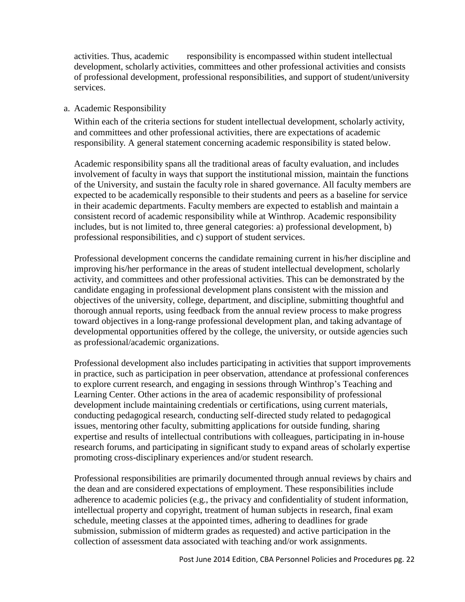activities. Thus, academic responsibility is encompassed within student intellectual development, scholarly activities, committees and other professional activities and consists of professional development, professional responsibilities, and support of student/university services.

## a. Academic Responsibility

Within each of the criteria sections for student intellectual development, scholarly activity, and committees and other professional activities, there are expectations of academic responsibility. A general statement concerning academic responsibility is stated below.

Academic responsibility spans all the traditional areas of faculty evaluation, and includes involvement of faculty in ways that support the institutional mission, maintain the functions of the University, and sustain the faculty role in shared governance. All faculty members are expected to be academically responsible to their students and peers as a baseline for service in their academic departments. Faculty members are expected to establish and maintain a consistent record of academic responsibility while at Winthrop. Academic responsibility includes, but is not limited to, three general categories: a) professional development, b) professional responsibilities, and c) support of student services.

Professional development concerns the candidate remaining current in his/her discipline and improving his/her performance in the areas of student intellectual development, scholarly activity, and committees and other professional activities. This can be demonstrated by the candidate engaging in professional development plans consistent with the mission and objectives of the university, college, department, and discipline, submitting thoughtful and thorough annual reports, using feedback from the annual review process to make progress toward objectives in a long-range professional development plan, and taking advantage of developmental opportunities offered by the college, the university, or outside agencies such as professional/academic organizations.

Professional development also includes participating in activities that support improvements in practice, such as participation in peer observation, attendance at professional conferences to explore current research, and engaging in sessions through Winthrop's Teaching and Learning Center. Other actions in the area of academic responsibility of professional development include maintaining credentials or certifications, using current materials, conducting pedagogical research, conducting self-directed study related to pedagogical issues, mentoring other faculty, submitting applications for outside funding, sharing expertise and results of intellectual contributions with colleagues, participating in in-house research forums, and participating in significant study to expand areas of scholarly expertise promoting cross-disciplinary experiences and/or student research.

Professional responsibilities are primarily documented through annual reviews by chairs and the dean and are considered expectations of employment. These responsibilities include adherence to academic policies (e.g., the privacy and confidentiality of student information, intellectual property and copyright, treatment of human subjects in research, final exam schedule, meeting classes at the appointed times, adhering to deadlines for grade submission, submission of midterm grades as requested) and active participation in the collection of assessment data associated with teaching and/or work assignments.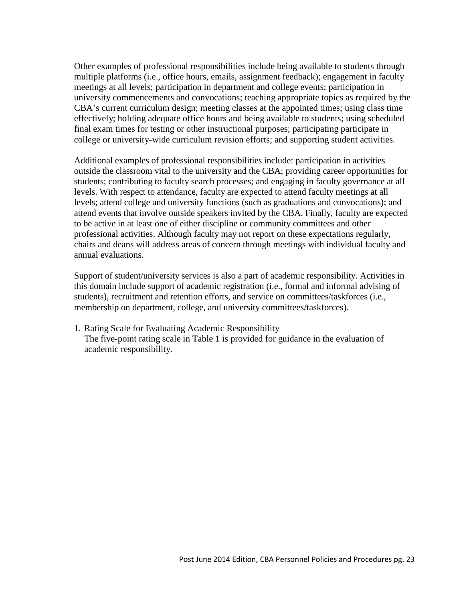Other examples of professional responsibilities include being available to students through multiple platforms (i.e., office hours, emails, assignment feedback); engagement in faculty meetings at all levels; participation in department and college events; participation in university commencements and convocations; teaching appropriate topics as required by the CBA's current curriculum design; meeting classes at the appointed times; using class time effectively; holding adequate office hours and being available to students; using scheduled final exam times for testing or other instructional purposes; participating participate in college or university-wide curriculum revision efforts; and supporting student activities.

Additional examples of professional responsibilities include: participation in activities outside the classroom vital to the university and the CBA; providing career opportunities for students; contributing to faculty search processes; and engaging in faculty governance at all levels. With respect to attendance, faculty are expected to attend faculty meetings at all levels; attend college and university functions (such as graduations and convocations); and attend events that involve outside speakers invited by the CBA. Finally, faculty are expected to be active in at least one of either discipline or community committees and other professional activities. Although faculty may not report on these expectations regularly, chairs and deans will address areas of concern through meetings with individual faculty and annual evaluations.

Support of student/university services is also a part of academic responsibility. Activities in this domain include support of academic registration (i.e., formal and informal advising of students), recruitment and retention efforts, and service on committees/taskforces (i.e., membership on department, college, and university committees/taskforces).

1. Rating Scale for Evaluating Academic Responsibility The five-point rating scale in Table 1 is provided for guidance in the evaluation of academic responsibility.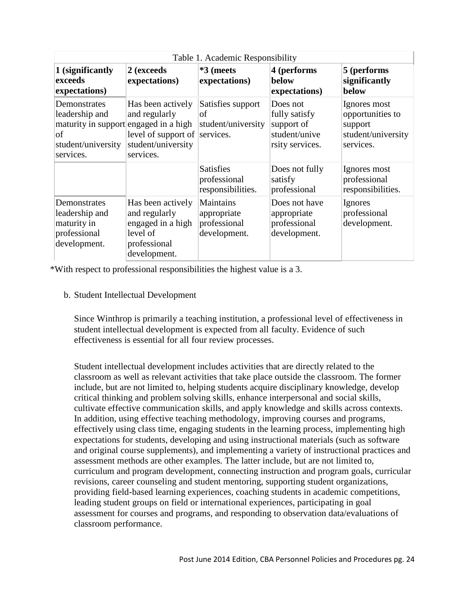| Table 1. Academic Responsibility                                                                                  |                                                                                                        |                                                          |                                                                             |                                                                                |
|-------------------------------------------------------------------------------------------------------------------|--------------------------------------------------------------------------------------------------------|----------------------------------------------------------|-----------------------------------------------------------------------------|--------------------------------------------------------------------------------|
| 1 (significantly<br>exceeds<br>expectations)                                                                      | 2 (exceeds<br>expectations)                                                                            | *3 (meets<br>expectations)                               | 4 (performs<br>below<br>expectations)                                       | 5 (performs<br>significantly<br>below                                          |
| Demonstrates<br>leadership and<br>maturity in support engaged in a high<br> of<br>student/university<br>services. | Has been actively<br>and regularly<br>level of support of services.<br>student/university<br>services. | Satisfies support<br>οf<br>student/university            | Does not<br>fully satisfy<br>support of<br>student/unive<br>rsity services. | Ignores most<br>opportunities to<br>support<br>student/university<br>services. |
|                                                                                                                   |                                                                                                        | <b>Satisfies</b><br>professional<br>responsibilities.    | Does not fully<br>satisfy<br>professional                                   | Ignores most<br>professional<br>responsibilities.                              |
| Demonstrates<br>leadership and<br>maturity in<br>professional<br>development.                                     | Has been actively<br>and regularly<br>engaged in a high<br>level of<br>professional<br>development.    | Maintains<br>appropriate<br>professional<br>development. | Does not have<br>appropriate<br>professional<br>development.                | Ignores<br>professional<br>development.                                        |

\*With respect to professional responsibilities the highest value is a 3.

b. Student Intellectual Development

Since Winthrop is primarily a teaching institution, a professional level of effectiveness in student intellectual development is expected from all faculty. Evidence of such effectiveness is essential for all four review processes.

Student intellectual development includes activities that are directly related to the classroom as well as relevant activities that take place outside the classroom. The former include, but are not limited to, helping students acquire disciplinary knowledge, develop critical thinking and problem solving skills, enhance interpersonal and social skills, cultivate effective communication skills, and apply knowledge and skills across contexts. In addition, using effective teaching methodology, improving courses and programs, effectively using class time, engaging students in the learning process, implementing high expectations for students, developing and using instructional materials (such as software and original course supplements), and implementing a variety of instructional practices and assessment methods are other examples. The latter include, but are not limited to, curriculum and program development, connecting instruction and program goals, curricular revisions, career counseling and student mentoring, supporting student organizations, providing field-based learning experiences, coaching students in academic competitions, leading student groups on field or international experiences, participating in goal assessment for courses and programs, and responding to observation data/evaluations of classroom performance.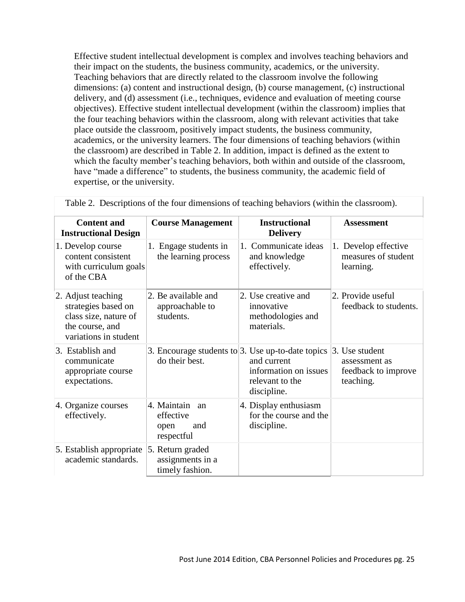Effective student intellectual development is complex and involves teaching behaviors and their impact on the students, the business community, academics, or the university. Teaching behaviors that are directly related to the classroom involve the following dimensions: (a) content and instructional design, (b) course management, (c) instructional delivery, and (d) assessment (i.e., techniques, evidence and evaluation of meeting course objectives). Effective student intellectual development (within the classroom) implies that the four teaching behaviors within the classroom, along with relevant activities that take place outside the classroom, positively impact students, the business community, academics, or the university learners. The four dimensions of teaching behaviors (within the classroom) are described in Table 2. In addition, impact is defined as the extent to which the faculty member's teaching behaviors, both within and outside of the classroom, have "made a difference" to students, the business community, the academic field of expertise, or the university.

| <b>Content and</b><br><b>Instructional Design</b>                                                              | <b>Course Management</b>                                               | <b>Instructional</b><br><b>Delivery</b>                                | <b>Assessment</b>                                                   |
|----------------------------------------------------------------------------------------------------------------|------------------------------------------------------------------------|------------------------------------------------------------------------|---------------------------------------------------------------------|
| 1. Develop course<br>content consistent<br>with curriculum goals<br>of the CBA                                 | 1. Engage students in<br>the learning process                          | 1. Communicate ideas<br>and knowledge<br>effectively.                  | 1. Develop effective<br>measures of student<br>learning.            |
| 2. Adjust teaching<br>strategies based on<br>class size, nature of<br>the course, and<br>variations in student | 2. Be available and<br>approachable to<br>students.                    | 2. Use creative and<br>innovative<br>methodologies and<br>materials.   | 2. Provide useful<br>feedback to students.                          |
| 3. Establish and<br>communicate<br>appropriate course<br>expectations.                                         | 3. Encourage students to $3$ . Use up-to-date topics<br>do their best. | and current<br>information on issues<br>relevant to the<br>discipline. | 3. Use student<br>assessment as<br>feedback to improve<br>teaching. |
| 4. Organize courses<br>effectively.                                                                            | 4. Maintain<br>an<br>effective<br>and<br>open<br>respectful            | 4. Display enthusiasm<br>for the course and the<br>discipline.         |                                                                     |
| 5. Establish appropriate<br>academic standards.                                                                | 5. Return graded<br>assignments in a<br>timely fashion.                |                                                                        |                                                                     |

Table 2. Descriptions of the four dimensions of teaching behaviors (within the classroom).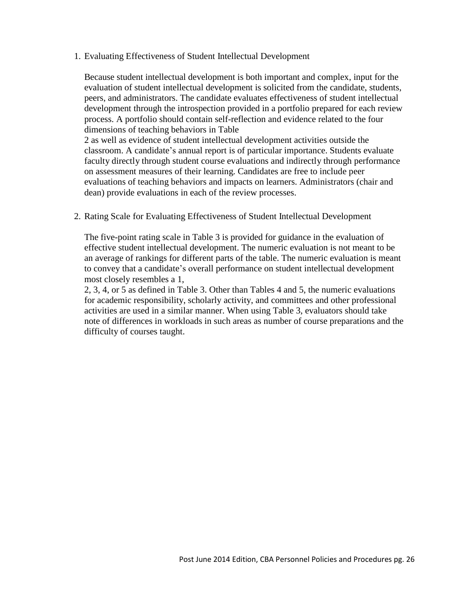1. Evaluating Effectiveness of Student Intellectual Development

Because student intellectual development is both important and complex, input for the evaluation of student intellectual development is solicited from the candidate, students, peers, and administrators. The candidate evaluates effectiveness of student intellectual development through the introspection provided in a portfolio prepared for each review process. A portfolio should contain self-reflection and evidence related to the four dimensions of teaching behaviors in Table

2 as well as evidence of student intellectual development activities outside the classroom. A candidate's annual report is of particular importance. Students evaluate faculty directly through student course evaluations and indirectly through performance on assessment measures of their learning. Candidates are free to include peer evaluations of teaching behaviors and impacts on learners. Administrators (chair and dean) provide evaluations in each of the review processes.

2. Rating Scale for Evaluating Effectiveness of Student Intellectual Development

The five-point rating scale in Table 3 is provided for guidance in the evaluation of effective student intellectual development. The numeric evaluation is not meant to be an average of rankings for different parts of the table. The numeric evaluation is meant to convey that a candidate's overall performance on student intellectual development most closely resembles a 1,

2, 3, 4, or 5 as defined in Table 3. Other than Tables 4 and 5, the numeric evaluations for academic responsibility, scholarly activity, and committees and other professional activities are used in a similar manner. When using Table 3, evaluators should take note of differences in workloads in such areas as number of course preparations and the difficulty of courses taught.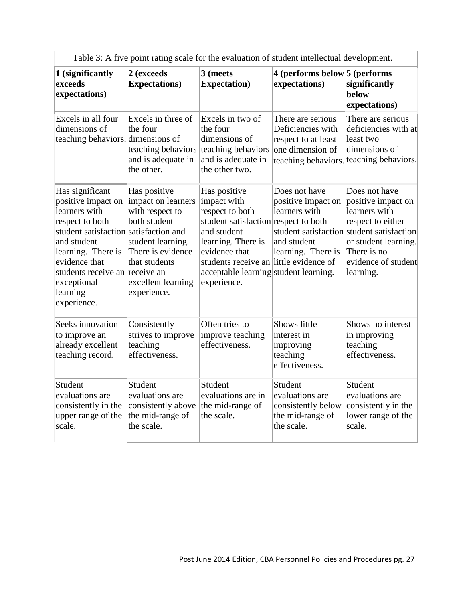|                                                                                                                                                                                                                                                      | Table 5. If five point fatting search of the evaluation of student intencetual development.                                                                           |                                                                                                                                                                                                                                                |                                                                                                          |                                                                                                                                                                                                   |
|------------------------------------------------------------------------------------------------------------------------------------------------------------------------------------------------------------------------------------------------------|-----------------------------------------------------------------------------------------------------------------------------------------------------------------------|------------------------------------------------------------------------------------------------------------------------------------------------------------------------------------------------------------------------------------------------|----------------------------------------------------------------------------------------------------------|---------------------------------------------------------------------------------------------------------------------------------------------------------------------------------------------------|
| 1 (significantly<br>exceeds<br>expectations)                                                                                                                                                                                                         | 2 (exceeds<br><b>Expectations</b> )                                                                                                                                   | 3 (meets<br><b>Expectation</b> )                                                                                                                                                                                                               | 4 (performs below 5 (performs<br>expectations)                                                           | significantly<br>below<br>expectations)                                                                                                                                                           |
| Excels in all four<br>dimensions of<br>teaching behaviors. dimensions of                                                                                                                                                                             | Excels in three of<br>the four<br>teaching behaviors<br>and is adequate in<br>the other.                                                                              | Excels in two of<br>the four<br>dimensions of<br>teaching behaviors<br>and is adequate in<br>the other two.                                                                                                                                    | There are serious<br>Deficiencies with<br>respect to at least<br>one dimension of<br>teaching behaviors. | There are serious<br>deficiencies with at<br>least two<br>dimensions of<br>teaching behaviors.                                                                                                    |
| Has significant<br>positive impact on<br>learners with<br>respect to both<br>student satisfaction satisfaction and<br>and student<br>learning. There is<br>evidence that<br>students receive an receive an<br>exceptional<br>learning<br>experience. | Has positive<br>impact on learners<br>with respect to<br>both student<br>student learning.<br>There is evidence<br>that students<br>excellent learning<br>experience. | Has positive<br>impact with<br>respect to both<br>student satisfaction respect to both<br>and student<br>learning. There is<br>evidence that<br>students receive an little evidence of<br>acceptable learning student learning.<br>experience. | Does not have<br>positive impact on<br>learners with<br>and student<br>learning. There is                | Does not have<br>positive impact on<br>learners with<br>respect to either<br>student satisfaction student satisfaction<br>or student learning.<br>There is no<br>evidence of student<br>learning. |
| Seeks innovation<br>to improve an<br>already excellent<br>teaching record.                                                                                                                                                                           | Consistently<br>strives to improve<br>teaching<br>effectiveness.                                                                                                      | Often tries to<br>improve teaching<br>effectiveness.                                                                                                                                                                                           | Shows little<br>interest in<br>improving<br>teaching<br>effectiveness.                                   | Shows no interest<br>in improving<br>teaching<br>effectiveness.                                                                                                                                   |
| Student<br>evaluations are<br>consistently in the<br>upper range of the<br>scale.                                                                                                                                                                    | Student<br>evaluations are<br>consistently above<br>the mid-range of<br>the scale.                                                                                    | Student<br>evaluations are in<br>the mid-range of<br>the scale.                                                                                                                                                                                | Student<br>evaluations are<br>consistently below<br>the mid-range of<br>the scale.                       | Student<br>evaluations are<br>consistently in the<br>lower range of the<br>scale.                                                                                                                 |

Table 3: A five point rating scale for the evaluation of student intellectual development.

Ī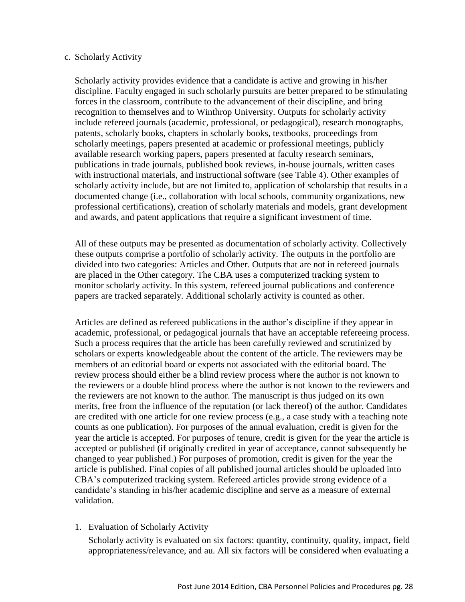#### c. Scholarly Activity

Scholarly activity provides evidence that a candidate is active and growing in his/her discipline. Faculty engaged in such scholarly pursuits are better prepared to be stimulating forces in the classroom, contribute to the advancement of their discipline, and bring recognition to themselves and to Winthrop University. Outputs for scholarly activity include refereed journals (academic, professional, or pedagogical), research monographs, patents, scholarly books, chapters in scholarly books, textbooks, proceedings from scholarly meetings, papers presented at academic or professional meetings, publicly available research working papers, papers presented at faculty research seminars, publications in trade journals, published book reviews, in-house journals, written cases with instructional materials, and instructional software (see Table 4). Other examples of scholarly activity include, but are not limited to, application of scholarship that results in a documented change (i.e., collaboration with local schools, community organizations, new professional certifications), creation of scholarly materials and models, grant development and awards, and patent applications that require a significant investment of time.

All of these outputs may be presented as documentation of scholarly activity. Collectively these outputs comprise a portfolio of scholarly activity. The outputs in the portfolio are divided into two categories: Articles and Other. Outputs that are not in refereed journals are placed in the Other category. The CBA uses a computerized tracking system to monitor scholarly activity. In this system, refereed journal publications and conference papers are tracked separately. Additional scholarly activity is counted as other.

Articles are defined as refereed publications in the author's discipline if they appear in academic, professional, or pedagogical journals that have an acceptable refereeing process. Such a process requires that the article has been carefully reviewed and scrutinized by scholars or experts knowledgeable about the content of the article. The reviewers may be members of an editorial board or experts not associated with the editorial board. The review process should either be a blind review process where the author is not known to the reviewers or a double blind process where the author is not known to the reviewers and the reviewers are not known to the author. The manuscript is thus judged on its own merits, free from the influence of the reputation (or lack thereof) of the author. Candidates are credited with one article for one review process (e.g., a case study with a teaching note counts as one publication). For purposes of the annual evaluation, credit is given for the year the article is accepted. For purposes of tenure, credit is given for the year the article is accepted or published (if originally credited in year of acceptance, cannot subsequently be changed to year published.) For purposes of promotion, credit is given for the year the article is published. Final copies of all published journal articles should be uploaded into CBA's computerized tracking system. Refereed articles provide strong evidence of a candidate's standing in his/her academic discipline and serve as a measure of external validation.

1. Evaluation of Scholarly Activity

Scholarly activity is evaluated on six factors: quantity, continuity, quality, impact, field appropriateness/relevance, and au. All six factors will be considered when evaluating a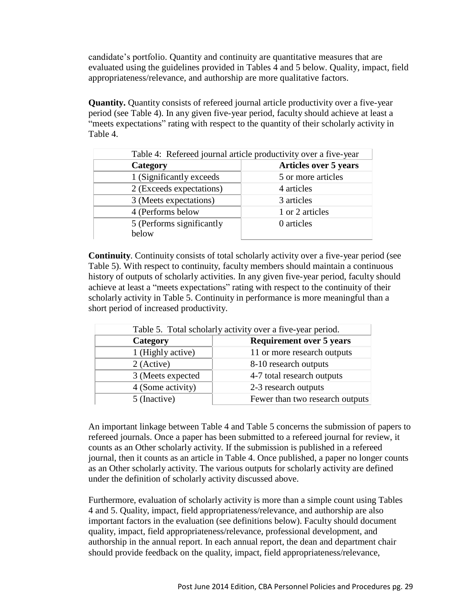candidate's portfolio. Quantity and continuity are quantitative measures that are evaluated using the guidelines provided in Tables 4 and 5 below. Quality, impact, field appropriateness/relevance, and authorship are more qualitative factors.

**Quantity.** Quantity consists of refereed journal article productivity over a five-year period (see Table 4). In any given five-year period, faculty should achieve at least a "meets expectations" rating with respect to the quantity of their scholarly activity in Table 4.

| Table 4: Refereed journal article productivity over a five-year |                              |  |  |
|-----------------------------------------------------------------|------------------------------|--|--|
| Category                                                        | <b>Articles over 5 years</b> |  |  |
| 1 (Significantly exceeds)                                       | 5 or more articles           |  |  |
| 2 (Exceeds expectations)                                        | 4 articles                   |  |  |
| 3 (Meets expectations)                                          | 3 articles                   |  |  |
| 4 (Performs below                                               | 1 or 2 articles              |  |  |
| 5 (Performs significantly                                       | 0 articles                   |  |  |
| below                                                           |                              |  |  |

**Continuity**. Continuity consists of total scholarly activity over a five-year period (see Table 5). With respect to continuity, faculty members should maintain a continuous history of outputs of scholarly activities. In any given five-year period, faculty should achieve at least a "meets expectations" rating with respect to the continuity of their scholarly activity in Table 5. Continuity in performance is more meaningful than a short period of increased productivity.

| Table 5. Total scholarly activity over a five-year period. |                                 |  |  |
|------------------------------------------------------------|---------------------------------|--|--|
| Category                                                   | <b>Requirement over 5 years</b> |  |  |
| 1 (Highly active)                                          | 11 or more research outputs     |  |  |
| 2 (Active)                                                 | 8-10 research outputs           |  |  |
| 3 (Meets expected                                          | 4-7 total research outputs      |  |  |
| 4 (Some activity)                                          | 2-3 research outputs            |  |  |
| 5 (Inactive)                                               | Fewer than two research outputs |  |  |

An important linkage between Table 4 and Table 5 concerns the submission of papers to refereed journals. Once a paper has been submitted to a refereed journal for review, it counts as an Other scholarly activity. If the submission is published in a refereed journal, then it counts as an article in Table 4. Once published, a paper no longer counts as an Other scholarly activity. The various outputs for scholarly activity are defined under the definition of scholarly activity discussed above.

Furthermore, evaluation of scholarly activity is more than a simple count using Tables 4 and 5. Quality, impact, field appropriateness/relevance, and authorship are also important factors in the evaluation (see definitions below). Faculty should document quality, impact, field appropriateness/relevance, professional development, and authorship in the annual report. In each annual report, the dean and department chair should provide feedback on the quality, impact, field appropriateness/relevance,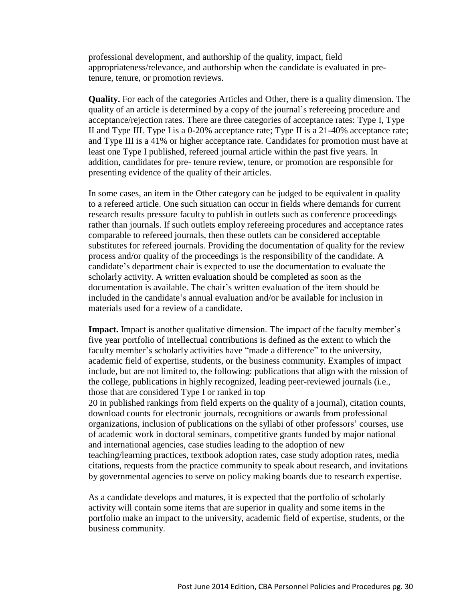professional development, and authorship of the quality, impact, field appropriateness/relevance, and authorship when the candidate is evaluated in pretenure, tenure, or promotion reviews.

**Quality.** For each of the categories Articles and Other, there is a quality dimension. The quality of an article is determined by a copy of the journal's refereeing procedure and acceptance/rejection rates. There are three categories of acceptance rates: Type I, Type II and Type III. Type I is a 0-20% acceptance rate; Type II is a 21-40% acceptance rate; and Type III is a 41% or higher acceptance rate. Candidates for promotion must have at least one Type I published, refereed journal article within the past five years. In addition, candidates for pre- tenure review, tenure, or promotion are responsible for presenting evidence of the quality of their articles.

In some cases, an item in the Other category can be judged to be equivalent in quality to a refereed article. One such situation can occur in fields where demands for current research results pressure faculty to publish in outlets such as conference proceedings rather than journals. If such outlets employ refereeing procedures and acceptance rates comparable to refereed journals, then these outlets can be considered acceptable substitutes for refereed journals. Providing the documentation of quality for the review process and/or quality of the proceedings is the responsibility of the candidate. A candidate's department chair is expected to use the documentation to evaluate the scholarly activity. A written evaluation should be completed as soon as the documentation is available. The chair's written evaluation of the item should be included in the candidate's annual evaluation and/or be available for inclusion in materials used for a review of a candidate.

**Impact.** Impact is another qualitative dimension. The impact of the faculty member's five year portfolio of intellectual contributions is defined as the extent to which the faculty member's scholarly activities have "made a difference" to the university, academic field of expertise, students, or the business community. Examples of impact include, but are not limited to, the following: publications that align with the mission of the college, publications in highly recognized, leading peer-reviewed journals (i.e., those that are considered Type I or ranked in top 20 in published rankings from field experts on the quality of a journal), citation counts, download counts for electronic journals, recognitions or awards from professional organizations, inclusion of publications on the syllabi of other professors' courses, use of academic work in doctoral seminars, competitive grants funded by major national and international agencies, case studies leading to the adoption of new teaching/learning practices, textbook adoption rates, case study adoption rates, media citations, requests from the practice community to speak about research, and invitations by governmental agencies to serve on policy making boards due to research expertise.

As a candidate develops and matures, it is expected that the portfolio of scholarly activity will contain some items that are superior in quality and some items in the portfolio make an impact to the university, academic field of expertise, students, or the business community.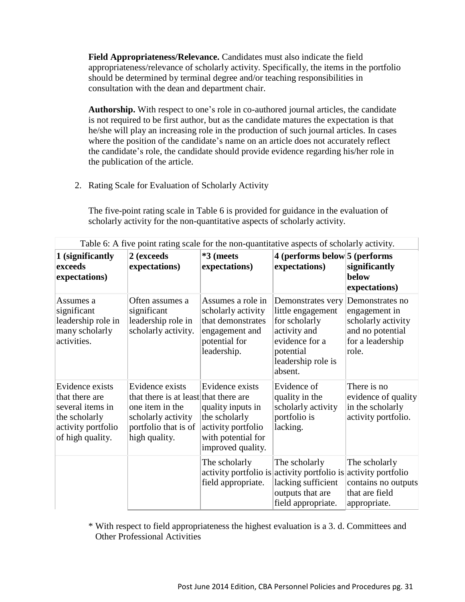**Field Appropriateness/Relevance.** Candidates must also indicate the field appropriateness/relevance of scholarly activity. Specifically, the items in the portfolio should be determined by terminal degree and/or teaching responsibilities in consultation with the dean and department chair.

**Authorship.** With respect to one's role in co-authored journal articles, the candidate is not required to be first author, but as the candidate matures the expectation is that he/she will play an increasing role in the production of such journal articles. In cases where the position of the candidate's name on an article does not accurately reflect the candidate's role, the candidate should provide evidence regarding his/her role in the publication of the article.

2. Rating Scale for Evaluation of Scholarly Activity

The five-point rating scale in Table 6 is provided for guidance in the evaluation of scholarly activity for the non-quantitative aspects of scholarly activity.

| Table 6: A five point rating scale for the non-quantitative aspects of scholarly activity.                       |                                                                                                                                            |                                                                                                                        |                                                                                                                                                 |                                                                                                         |
|------------------------------------------------------------------------------------------------------------------|--------------------------------------------------------------------------------------------------------------------------------------------|------------------------------------------------------------------------------------------------------------------------|-------------------------------------------------------------------------------------------------------------------------------------------------|---------------------------------------------------------------------------------------------------------|
| 1 (significantly<br>exceeds<br>expectations)                                                                     | 2 (exceeds<br>expectations)                                                                                                                | *3 (meets<br>expectations)                                                                                             | 4 (performs below 5 (performs<br>expectations)                                                                                                  | significantly<br>below<br>expectations)                                                                 |
| Assumes a<br>significant<br>leadership role in<br>many scholarly<br>activities.                                  | Often assumes a<br>significant<br>leadership role in<br>scholarly activity.                                                                | Assumes a role in<br>scholarly activity<br>that demonstrates<br>engagement and<br>potential for<br>leadership.         | Demonstrates very<br>little engagement<br>for scholarly<br>activity and<br>evidence for a<br>potential<br>leadership role is<br>absent.         | Demonstrates no<br>engagement in<br>scholarly activity<br>and no potential<br>for a leadership<br>role. |
| Evidence exists<br>that there are<br>several items in<br>the scholarly<br>activity portfolio<br>of high quality. | Evidence exists<br>that there is at least that there are<br>one item in the<br>scholarly activity<br>portfolio that is of<br>high quality. | Evidence exists<br>quality inputs in<br>the scholarly<br>activity portfolio<br>with potential for<br>improved quality. | Evidence of<br>quality in the<br>scholarly activity<br>portfolio is<br>lacking.                                                                 | There is no<br>evidence of quality<br>in the scholarly<br>activity portfolio.                           |
|                                                                                                                  |                                                                                                                                            | The scholarly<br>field appropriate.                                                                                    | The scholarly<br>activity portfolio is activity portfolio is activity portfolio<br>lacking sufficient<br>outputs that are<br>field appropriate. | The scholarly<br>contains no outputs<br>that are field<br>appropriate.                                  |

\* With respect to field appropriateness the highest evaluation is a 3. d. Committees and Other Professional Activities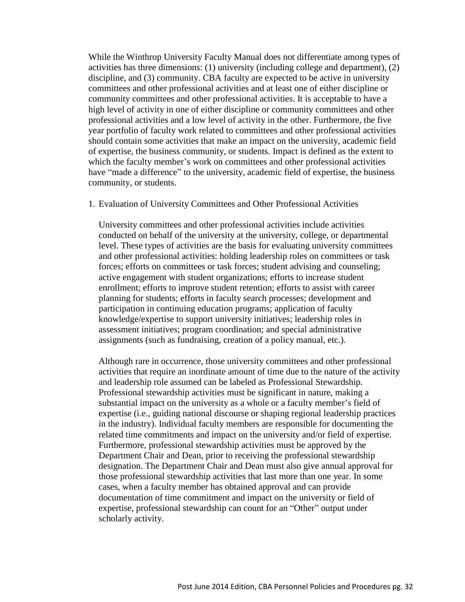While the Winthrop University Faculty Manual does not differentiate among types of activities has three dimensions: (1) university (including college and department), (2) discipline, and (3) community. CBA faculty are expected to be active in university committees and other professional activities and at least one of either discipline or community committees and other professional activities. It is acceptable to have a high level of activity in one of either discipline or community committees and other professional activities and a low level of activity in the other. Furthermore, the five year portfolio of faculty work related to committees and other professional activities should contain some activities that make an impact on the university, academic field of expertise, the business community, or students. Impact is defined as the extent to which the faculty member's work on committees and other professional activities have "made a difference" to the university, academic field of expertise, the business community, or students.

1. Evaluation of University Committees and Other Professional Activities

University committees and other professional activities include activities conducted on behalf of the university at the university, college, or departmental level. These types of activities are the basis for evaluating university committees and other professional activities: holding leadership roles on committees or task forces; efforts on committees or task forces; student advising and counseling; active engagement with student organizations; efforts to increase student enrollment; efforts to improve student retention; efforts to assist with career planning for students; efforts in faculty search processes; development and participation in continuing education programs; application of faculty knowledge/expertise to support university initiatives; leadership roles in assessment initiatives; program coordination; and special administrative assignments (such as fundraising, creation of a policy manual, etc.).

Although rare in occurrence, those university committees and other professional activities that require an inordinate amount of time due to the nature of the activity and leadership role assumed can be labeled as Professional Stewardship. Professional stewardship activities must be significant in nature, making a substantial impact on the university as a whole or a faculty member's field of expertise (i.e., guiding national discourse or shaping regional leadership practices in the industry). Individual faculty members are responsible for documenting the related time commitments and impact on the university and/or field of expertise. Furthermore, professional stewardship activities must be approved by the Department Chair and Dean, prior to receiving the professional stewardship designation. The Department Chair and Dean must also give annual approval for those professional stewardship activities that last more than one year. In some cases, when a faculty member has obtained approval and can provide documentation of time commitment and impact on the university or field of expertise, professional stewardship can count for an "Other" output under scholarly activity.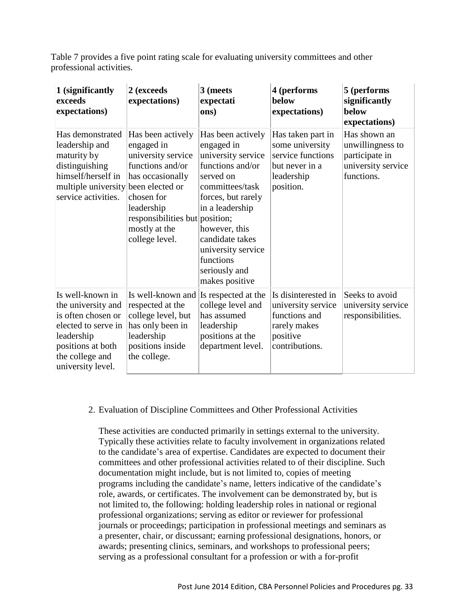Table 7 provides a five point rating scale for evaluating university committees and other professional activities.

| 1 (significantly<br>exceeds<br>expectations)                                                                                                                   | 2 (exceeds<br>expectations)                                                                                                                                                                                       | 3 (meets<br>expectati<br>ons)                                                                                                                                                                                                                                | 4 (performs<br>below<br>expectations)                                                                    | 5 (performs<br>significantly<br>below<br>expectations)                                 |
|----------------------------------------------------------------------------------------------------------------------------------------------------------------|-------------------------------------------------------------------------------------------------------------------------------------------------------------------------------------------------------------------|--------------------------------------------------------------------------------------------------------------------------------------------------------------------------------------------------------------------------------------------------------------|----------------------------------------------------------------------------------------------------------|----------------------------------------------------------------------------------------|
| Has demonstrated<br>leadership and<br>maturity by<br>distinguishing<br>himself/herself in<br>multiple university<br>service activities.                        | Has been actively<br>engaged in<br>university service<br>functions and/or<br>has occasionally<br>been elected or<br>chosen for<br>leadership<br>responsibilities but position;<br>mostly at the<br>college level. | Has been actively<br>engaged in<br>university service<br>functions and/or<br>served on<br>committees/task<br>forces, but rarely<br>in a leadership<br>however, this<br>candidate takes<br>university service<br>functions<br>seriously and<br>makes positive | Has taken part in<br>some university<br>service functions<br>but never in a<br>leadership<br>position.   | Has shown an<br>unwillingness to<br>participate in<br>university service<br>functions. |
| Is well-known in<br>the university and<br>is often chosen or<br>elected to serve in<br>leadership<br>positions at both<br>the college and<br>university level. | Is well-known and<br>respected at the<br>college level, but<br>has only been in<br>leadership<br>positions inside<br>the college.                                                                                 | Is respected at the<br>college level and<br>has assumed<br>leadership<br>positions at the<br>department level.                                                                                                                                               | Is disinterested in<br>university service<br>functions and<br>rarely makes<br>positive<br>contributions. | Seeks to avoid<br>university service<br>responsibilities.                              |

# 2. Evaluation of Discipline Committees and Other Professional Activities

These activities are conducted primarily in settings external to the university. Typically these activities relate to faculty involvement in organizations related to the candidate's area of expertise. Candidates are expected to document their committees and other professional activities related to of their discipline. Such documentation might include, but is not limited to, copies of meeting programs including the candidate's name, letters indicative of the candidate's role, awards, or certificates. The involvement can be demonstrated by, but is not limited to, the following: holding leadership roles in national or regional professional organizations; serving as editor or reviewer for professional journals or proceedings; participation in professional meetings and seminars as a presenter, chair, or discussant; earning professional designations, honors, or awards; presenting clinics, seminars, and workshops to professional peers; serving as a professional consultant for a profession or with a for-profit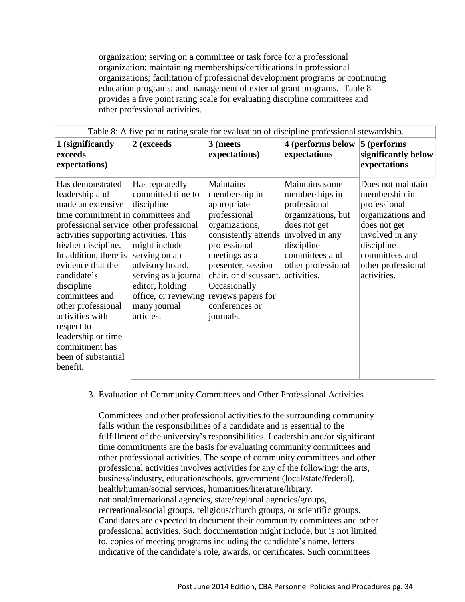organization; serving on a committee or task force for a professional organization; maintaining memberships/certifications in professional organizations; facilitation of professional development programs or continuing education programs; and management of external grant programs. Table 8 provides a five point rating scale for evaluating discipline committees and other professional activities.

| Table 8: A five point rating scale for evaluation of discipline professional stewardship.                                                                                                                                                                                                                                                                                                                                               |                                                                                                                                                                                                                           |                                                                                                                                                                                                                                                                |                                                                                                                                              |                                                                                                                                                                                 |  |
|-----------------------------------------------------------------------------------------------------------------------------------------------------------------------------------------------------------------------------------------------------------------------------------------------------------------------------------------------------------------------------------------------------------------------------------------|---------------------------------------------------------------------------------------------------------------------------------------------------------------------------------------------------------------------------|----------------------------------------------------------------------------------------------------------------------------------------------------------------------------------------------------------------------------------------------------------------|----------------------------------------------------------------------------------------------------------------------------------------------|---------------------------------------------------------------------------------------------------------------------------------------------------------------------------------|--|
| 1 (significantly<br>exceeds<br>expectations)                                                                                                                                                                                                                                                                                                                                                                                            | 2 (exceeds                                                                                                                                                                                                                | 3 (meets<br>expectations)                                                                                                                                                                                                                                      | 4 (performs below<br>expectations                                                                                                            | 5 (performs<br>significantly below<br>expectations                                                                                                                              |  |
| Has demonstrated<br>leadership and<br>made an extensive<br>time commitment in committees and<br>professional service other professional<br>activities supporting activities. This<br>his/her discipline.<br>In addition, there is<br>evidence that the<br>candidate's<br>discipline<br>committees and<br>other professional<br>activities with<br>respect to<br>leadership or time<br>commitment has<br>been of substantial<br>benefit. | Has repeatedly<br>committed time to<br>discipline<br>might include<br>serving on an<br>advisory board,<br>serving as a journal<br>editor, holding<br>office, or reviewing reviews papers for<br>many journal<br>articles. | Maintains<br>membership in<br>appropriate<br>professional<br>organizations,<br>consistently attends involved in any<br>professional<br>meetings as a<br>presenter, session<br>chair, or discussant. activities.<br>Occasionally<br>conferences or<br>journals. | Maintains some<br>memberships in<br>professional<br>organizations, but<br>does not get<br>discipline<br>committees and<br>other professional | Does not maintain<br>membership in<br>professional<br>organizations and<br>does not get<br>involved in any<br>discipline<br>committees and<br>other professional<br>activities. |  |

3. Evaluation of Community Committees and Other Professional Activities

Committees and other professional activities to the surrounding community falls within the responsibilities of a candidate and is essential to the fulfillment of the university's responsibilities. Leadership and/or significant time commitments are the basis for evaluating community committees and other professional activities. The scope of community committees and other professional activities involves activities for any of the following: the arts, business/industry, education/schools, government (local/state/federal), health/human/social services, humanities/literature/library, national/international agencies, state/regional agencies/groups, recreational/social groups, religious/church groups, or scientific groups. Candidates are expected to document their community committees and other professional activities. Such documentation might include, but is not limited to, copies of meeting programs including the candidate's name, letters indicative of the candidate's role, awards, or certificates. Such committees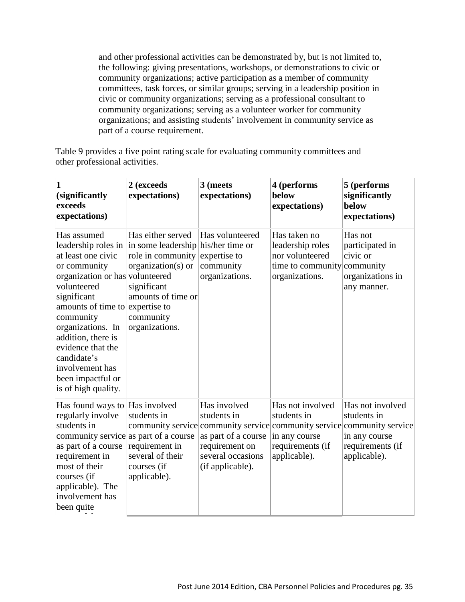and other professional activities can be demonstrated by, but is not limited to, the following: giving presentations, workshops, or demonstrations to civic or community organizations; active participation as a member of community committees, task forces, or similar groups; serving in a leadership position in civic or community organizations; serving as a professional consultant to community organizations; serving as a volunteer worker for community organizations; and assisting students' involvement in community service as part of a course requirement.

Table 9 provides a five point rating scale for evaluating community committees and other professional activities.

| (significantly<br>exceeds<br>expectations)                                                                                                                                                                                                                                                                       | 2 (exceeds<br>expectations)                                                                                                                                                                | 3 (meets<br>expectations)                                                                                     | 4 (performs<br>below<br>expectations)                                                                                                                           | 5 (performs<br>significantly<br>below<br>expectations)                               |
|------------------------------------------------------------------------------------------------------------------------------------------------------------------------------------------------------------------------------------------------------------------------------------------------------------------|--------------------------------------------------------------------------------------------------------------------------------------------------------------------------------------------|---------------------------------------------------------------------------------------------------------------|-----------------------------------------------------------------------------------------------------------------------------------------------------------------|--------------------------------------------------------------------------------------|
| Has assumed<br>at least one civic<br>or community<br>organization or has volunteered<br>volunteered<br>significant<br>amounts of time to expertise to<br>community<br>organizations. In<br>addition, there is<br>evidence that the<br>candidate's<br>involvement has<br>been impactful or<br>is of high quality. | Has either served<br>leadership roles in in some leadership his/her time or<br>role in community<br>organization(s) or<br>significant<br>amounts of time or<br>community<br>organizations. | Has volunteered<br>expertise to<br>community<br>organizations.                                                | Has taken no<br>leadership roles<br>nor volunteered<br>time to community community<br>organizations.                                                            | Has not<br>participated in<br>civic or<br>organizations in<br>any manner.            |
| Has found ways to Has involved<br>regularly involve<br>students in<br>community service as part of a course<br>as part of a course<br>requirement in<br>most of their<br>courses (if<br>applicable). The<br>involvement has<br>been quite                                                                        | students in<br>requirement in<br>several of their<br>courses (if<br>applicable).                                                                                                           | Has involved<br>students in<br>as part of a course<br>requirement on<br>several occasions<br>(if applicable). | Has not involved<br>students in<br>community service community service community service community service<br>in any course<br>requirements (if<br>applicable). | Has not involved<br>students in<br>in any course<br>requirements (if<br>applicable). |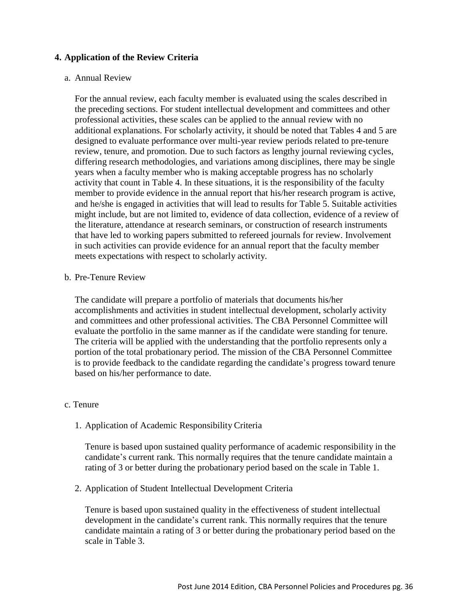#### **4. Application of the Review Criteria**

#### a. Annual Review

For the annual review, each faculty member is evaluated using the scales described in the preceding sections. For student intellectual development and committees and other professional activities, these scales can be applied to the annual review with no additional explanations. For scholarly activity, it should be noted that Tables 4 and 5 are designed to evaluate performance over multi-year review periods related to pre-tenure review, tenure, and promotion. Due to such factors as lengthy journal reviewing cycles, differing research methodologies, and variations among disciplines, there may be single years when a faculty member who is making acceptable progress has no scholarly activity that count in Table 4. In these situations, it is the responsibility of the faculty member to provide evidence in the annual report that his/her research program is active, and he/she is engaged in activities that will lead to results for Table 5. Suitable activities might include, but are not limited to, evidence of data collection, evidence of a review of the literature, attendance at research seminars, or construction of research instruments that have led to working papers submitted to refereed journals for review. Involvement in such activities can provide evidence for an annual report that the faculty member meets expectations with respect to scholarly activity.

#### b. Pre-Tenure Review

The candidate will prepare a portfolio of materials that documents his/her accomplishments and activities in student intellectual development, scholarly activity and committees and other professional activities. The CBA Personnel Committee will evaluate the portfolio in the same manner as if the candidate were standing for tenure. The criteria will be applied with the understanding that the portfolio represents only a portion of the total probationary period. The mission of the CBA Personnel Committee is to provide feedback to the candidate regarding the candidate's progress toward tenure based on his/her performance to date.

#### c. Tenure

#### 1. Application of Academic Responsibility Criteria

Tenure is based upon sustained quality performance of academic responsibility in the candidate's current rank. This normally requires that the tenure candidate maintain a rating of 3 or better during the probationary period based on the scale in Table 1.

#### 2. Application of Student Intellectual Development Criteria

Tenure is based upon sustained quality in the effectiveness of student intellectual development in the candidate's current rank. This normally requires that the tenure candidate maintain a rating of 3 or better during the probationary period based on the scale in Table 3.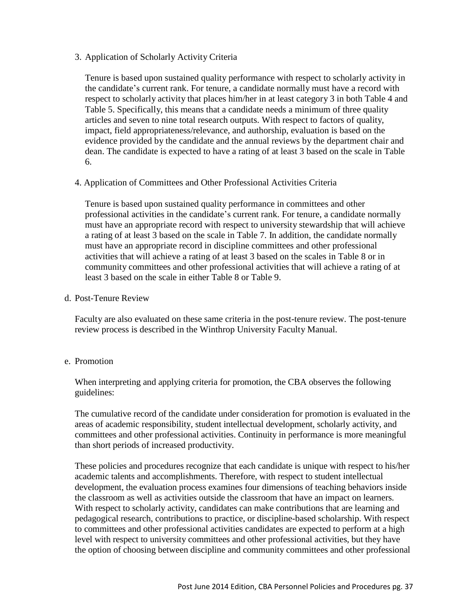3. Application of Scholarly Activity Criteria

Tenure is based upon sustained quality performance with respect to scholarly activity in the candidate's current rank. For tenure, a candidate normally must have a record with respect to scholarly activity that places him/her in at least category 3 in both Table 4 and Table 5. Specifically, this means that a candidate needs a minimum of three quality articles and seven to nine total research outputs. With respect to factors of quality, impact, field appropriateness/relevance, and authorship, evaluation is based on the evidence provided by the candidate and the annual reviews by the department chair and dean. The candidate is expected to have a rating of at least 3 based on the scale in Table 6.

4. Application of Committees and Other Professional Activities Criteria

Tenure is based upon sustained quality performance in committees and other professional activities in the candidate's current rank. For tenure, a candidate normally must have an appropriate record with respect to university stewardship that will achieve a rating of at least 3 based on the scale in Table 7. In addition, the candidate normally must have an appropriate record in discipline committees and other professional activities that will achieve a rating of at least 3 based on the scales in Table 8 or in community committees and other professional activities that will achieve a rating of at least 3 based on the scale in either Table 8 or Table 9.

d. Post-Tenure Review

Faculty are also evaluated on these same criteria in the post-tenure review. The post-tenure review process is described in the Winthrop University Faculty Manual.

## e. Promotion

When interpreting and applying criteria for promotion, the CBA observes the following guidelines:

The cumulative record of the candidate under consideration for promotion is evaluated in the areas of academic responsibility, student intellectual development, scholarly activity, and committees and other professional activities. Continuity in performance is more meaningful than short periods of increased productivity.

These policies and procedures recognize that each candidate is unique with respect to his/her academic talents and accomplishments. Therefore, with respect to student intellectual development, the evaluation process examines four dimensions of teaching behaviors inside the classroom as well as activities outside the classroom that have an impact on learners. With respect to scholarly activity, candidates can make contributions that are learning and pedagogical research, contributions to practice, or discipline-based scholarship. With respect to committees and other professional activities candidates are expected to perform at a high level with respect to university committees and other professional activities, but they have the option of choosing between discipline and community committees and other professional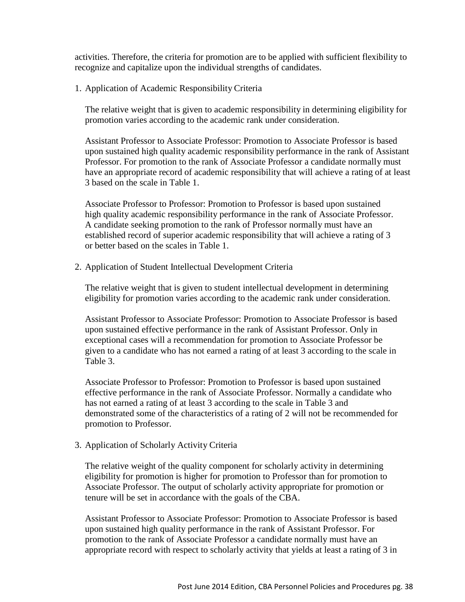activities. Therefore, the criteria for promotion are to be applied with sufficient flexibility to recognize and capitalize upon the individual strengths of candidates.

1. Application of Academic Responsibility Criteria

The relative weight that is given to academic responsibility in determining eligibility for promotion varies according to the academic rank under consideration.

Assistant Professor to Associate Professor: Promotion to Associate Professor is based upon sustained high quality academic responsibility performance in the rank of Assistant Professor. For promotion to the rank of Associate Professor a candidate normally must have an appropriate record of academic responsibility that will achieve a rating of at least 3 based on the scale in Table 1.

Associate Professor to Professor: Promotion to Professor is based upon sustained high quality academic responsibility performance in the rank of Associate Professor. A candidate seeking promotion to the rank of Professor normally must have an established record of superior academic responsibility that will achieve a rating of 3 or better based on the scales in Table 1.

2. Application of Student Intellectual Development Criteria

The relative weight that is given to student intellectual development in determining eligibility for promotion varies according to the academic rank under consideration.

Assistant Professor to Associate Professor: Promotion to Associate Professor is based upon sustained effective performance in the rank of Assistant Professor. Only in exceptional cases will a recommendation for promotion to Associate Professor be given to a candidate who has not earned a rating of at least 3 according to the scale in Table 3.

Associate Professor to Professor: Promotion to Professor is based upon sustained effective performance in the rank of Associate Professor. Normally a candidate who has not earned a rating of at least 3 according to the scale in Table 3 and demonstrated some of the characteristics of a rating of 2 will not be recommended for promotion to Professor.

3. Application of Scholarly Activity Criteria

The relative weight of the quality component for scholarly activity in determining eligibility for promotion is higher for promotion to Professor than for promotion to Associate Professor. The output of scholarly activity appropriate for promotion or tenure will be set in accordance with the goals of the CBA.

Assistant Professor to Associate Professor: Promotion to Associate Professor is based upon sustained high quality performance in the rank of Assistant Professor. For promotion to the rank of Associate Professor a candidate normally must have an appropriate record with respect to scholarly activity that yields at least a rating of 3 in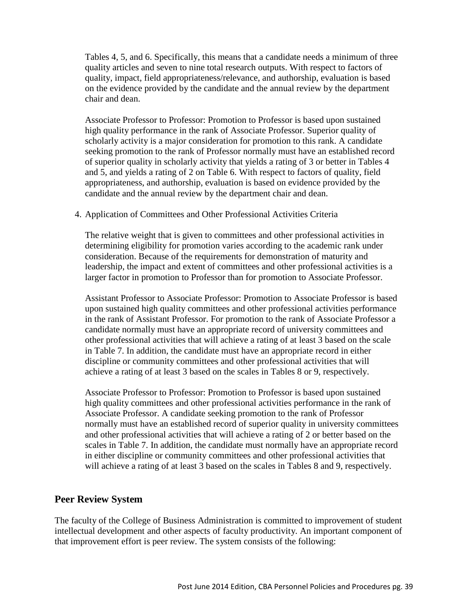Tables 4, 5, and 6. Specifically, this means that a candidate needs a minimum of three quality articles and seven to nine total research outputs. With respect to factors of quality, impact, field appropriateness/relevance, and authorship, evaluation is based on the evidence provided by the candidate and the annual review by the department chair and dean.

Associate Professor to Professor: Promotion to Professor is based upon sustained high quality performance in the rank of Associate Professor. Superior quality of scholarly activity is a major consideration for promotion to this rank. A candidate seeking promotion to the rank of Professor normally must have an established record of superior quality in scholarly activity that yields a rating of 3 or better in Tables 4 and 5, and yields a rating of 2 on Table 6. With respect to factors of quality, field appropriateness, and authorship, evaluation is based on evidence provided by the candidate and the annual review by the department chair and dean.

#### 4. Application of Committees and Other Professional Activities Criteria

The relative weight that is given to committees and other professional activities in determining eligibility for promotion varies according to the academic rank under consideration. Because of the requirements for demonstration of maturity and leadership, the impact and extent of committees and other professional activities is a larger factor in promotion to Professor than for promotion to Associate Professor.

Assistant Professor to Associate Professor: Promotion to Associate Professor is based upon sustained high quality committees and other professional activities performance in the rank of Assistant Professor. For promotion to the rank of Associate Professor a candidate normally must have an appropriate record of university committees and other professional activities that will achieve a rating of at least 3 based on the scale in Table 7. In addition, the candidate must have an appropriate record in either discipline or community committees and other professional activities that will achieve a rating of at least 3 based on the scales in Tables 8 or 9, respectively.

Associate Professor to Professor: Promotion to Professor is based upon sustained high quality committees and other professional activities performance in the rank of Associate Professor. A candidate seeking promotion to the rank of Professor normally must have an established record of superior quality in university committees and other professional activities that will achieve a rating of 2 or better based on the scales in Table 7. In addition, the candidate must normally have an appropriate record in either discipline or community committees and other professional activities that will achieve a rating of at least 3 based on the scales in Tables 8 and 9, respectively.

#### **Peer Review System**

The faculty of the College of Business Administration is committed to improvement of student intellectual development and other aspects of faculty productivity. An important component of that improvement effort is peer review. The system consists of the following: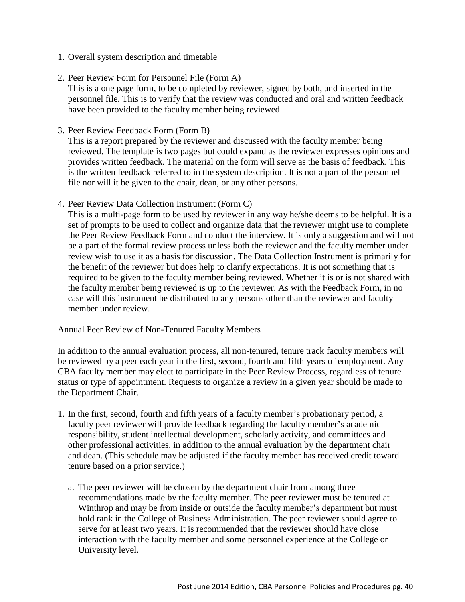- 1. Overall system description and timetable
- 2. Peer Review Form for Personnel File (Form A)

This is a one page form, to be completed by reviewer, signed by both, and inserted in the personnel file. This is to verify that the review was conducted and oral and written feedback have been provided to the faculty member being reviewed.

3. Peer Review Feedback Form (Form B)

This is a report prepared by the reviewer and discussed with the faculty member being reviewed. The template is two pages but could expand as the reviewer expresses opinions and provides written feedback. The material on the form will serve as the basis of feedback. This is the written feedback referred to in the system description. It is not a part of the personnel file nor will it be given to the chair, dean, or any other persons.

4. Peer Review Data Collection Instrument (Form C)

This is a multi-page form to be used by reviewer in any way he/she deems to be helpful. It is a set of prompts to be used to collect and organize data that the reviewer might use to complete the Peer Review Feedback Form and conduct the interview. It is only a suggestion and will not be a part of the formal review process unless both the reviewer and the faculty member under review wish to use it as a basis for discussion. The Data Collection Instrument is primarily for the benefit of the reviewer but does help to clarify expectations. It is not something that is required to be given to the faculty member being reviewed. Whether it is or is not shared with the faculty member being reviewed is up to the reviewer. As with the Feedback Form, in no case will this instrument be distributed to any persons other than the reviewer and faculty member under review.

#### Annual Peer Review of Non-Tenured Faculty Members

In addition to the annual evaluation process, all non-tenured, tenure track faculty members will be reviewed by a peer each year in the first, second, fourth and fifth years of employment. Any CBA faculty member may elect to participate in the Peer Review Process, regardless of tenure status or type of appointment. Requests to organize a review in a given year should be made to the Department Chair.

- 1. In the first, second, fourth and fifth years of a faculty member's probationary period, a faculty peer reviewer will provide feedback regarding the faculty member's academic responsibility, student intellectual development, scholarly activity, and committees and other professional activities, in addition to the annual evaluation by the department chair and dean. (This schedule may be adjusted if the faculty member has received credit toward tenure based on a prior service.)
	- a. The peer reviewer will be chosen by the department chair from among three recommendations made by the faculty member. The peer reviewer must be tenured at Winthrop and may be from inside or outside the faculty member's department but must hold rank in the College of Business Administration. The peer reviewer should agree to serve for at least two years. It is recommended that the reviewer should have close interaction with the faculty member and some personnel experience at the College or University level.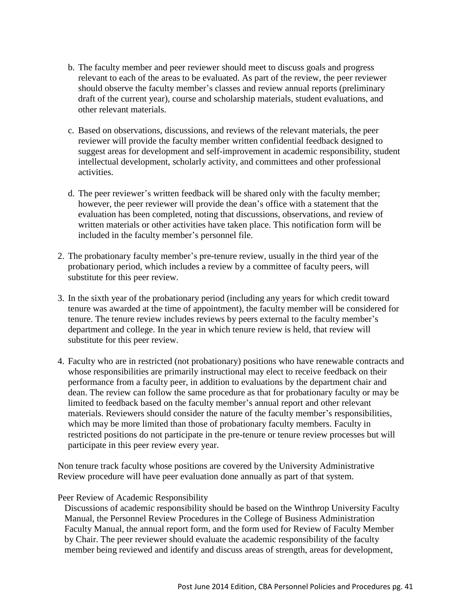- b. The faculty member and peer reviewer should meet to discuss goals and progress relevant to each of the areas to be evaluated. As part of the review, the peer reviewer should observe the faculty member's classes and review annual reports (preliminary draft of the current year), course and scholarship materials, student evaluations, and other relevant materials.
- c. Based on observations, discussions, and reviews of the relevant materials, the peer reviewer will provide the faculty member written confidential feedback designed to suggest areas for development and self-improvement in academic responsibility, student intellectual development, scholarly activity, and committees and other professional activities.
- d. The peer reviewer's written feedback will be shared only with the faculty member; however, the peer reviewer will provide the dean's office with a statement that the evaluation has been completed, noting that discussions, observations, and review of written materials or other activities have taken place. This notification form will be included in the faculty member's personnel file.
- 2. The probationary faculty member's pre-tenure review, usually in the third year of the probationary period, which includes a review by a committee of faculty peers, will substitute for this peer review.
- 3. In the sixth year of the probationary period (including any years for which credit toward tenure was awarded at the time of appointment), the faculty member will be considered for tenure. The tenure review includes reviews by peers external to the faculty member's department and college. In the year in which tenure review is held, that review will substitute for this peer review.
- 4. Faculty who are in restricted (not probationary) positions who have renewable contracts and whose responsibilities are primarily instructional may elect to receive feedback on their performance from a faculty peer, in addition to evaluations by the department chair and dean. The review can follow the same procedure as that for probationary faculty or may be limited to feedback based on the faculty member's annual report and other relevant materials. Reviewers should consider the nature of the faculty member's responsibilities, which may be more limited than those of probationary faculty members. Faculty in restricted positions do not participate in the pre-tenure or tenure review processes but will participate in this peer review every year.

Non tenure track faculty whose positions are covered by the University Administrative Review procedure will have peer evaluation done annually as part of that system.

#### Peer Review of Academic Responsibility

Discussions of academic responsibility should be based on the Winthrop University Faculty Manual, the Personnel Review Procedures in the College of Business Administration Faculty Manual, the annual report form, and the form used for Review of Faculty Member by Chair. The peer reviewer should evaluate the academic responsibility of the faculty member being reviewed and identify and discuss areas of strength, areas for development,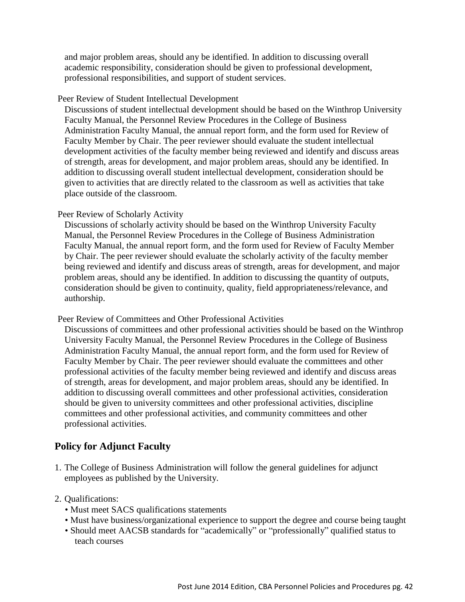and major problem areas, should any be identified. In addition to discussing overall academic responsibility, consideration should be given to professional development, professional responsibilities, and support of student services.

#### Peer Review of Student Intellectual Development

Discussions of student intellectual development should be based on the Winthrop University Faculty Manual, the Personnel Review Procedures in the College of Business Administration Faculty Manual, the annual report form, and the form used for Review of Faculty Member by Chair. The peer reviewer should evaluate the student intellectual development activities of the faculty member being reviewed and identify and discuss areas of strength, areas for development, and major problem areas, should any be identified. In addition to discussing overall student intellectual development, consideration should be given to activities that are directly related to the classroom as well as activities that take place outside of the classroom.

## Peer Review of Scholarly Activity

Discussions of scholarly activity should be based on the Winthrop University Faculty Manual, the Personnel Review Procedures in the College of Business Administration Faculty Manual, the annual report form, and the form used for Review of Faculty Member by Chair. The peer reviewer should evaluate the scholarly activity of the faculty member being reviewed and identify and discuss areas of strength, areas for development, and major problem areas, should any be identified. In addition to discussing the quantity of outputs, consideration should be given to continuity, quality, field appropriateness/relevance, and authorship.

#### Peer Review of Committees and Other Professional Activities

Discussions of committees and other professional activities should be based on the Winthrop University Faculty Manual, the Personnel Review Procedures in the College of Business Administration Faculty Manual, the annual report form, and the form used for Review of Faculty Member by Chair. The peer reviewer should evaluate the committees and other professional activities of the faculty member being reviewed and identify and discuss areas of strength, areas for development, and major problem areas, should any be identified. In addition to discussing overall committees and other professional activities, consideration should be given to university committees and other professional activities, discipline committees and other professional activities, and community committees and other professional activities.

## **Policy for Adjunct Faculty**

1. The College of Business Administration will follow the general guidelines for adjunct employees as published by the University.

#### 2. Qualifications:

- Must meet SACS qualifications statements
- Must have business/organizational experience to support the degree and course being taught
- Should meet AACSB standards for "academically" or "professionally" qualified status to teach courses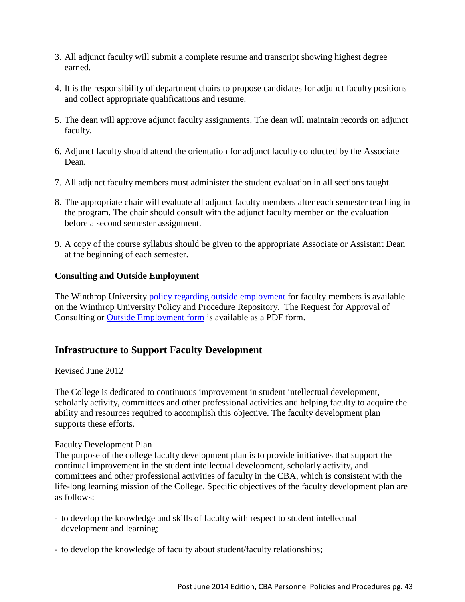- 3. All adjunct faculty will submit a complete resume and transcript showing highest degree earned.
- 4. It is the responsibility of department chairs to propose candidates for adjunct faculty positions and collect appropriate qualifications and resume.
- 5. The dean will approve adjunct faculty assignments. The dean will maintain records on adjunct faculty.
- 6. Adjunct faculty should attend the orientation for adjunct faculty conducted by the Associate Dean.
- 7. All adjunct faculty members must administer the student evaluation in all sections taught.
- 8. The appropriate chair will evaluate all adjunct faculty members after each semester teaching in the program. The chair should consult with the adjunct faculty member on the evaluation before a second semester assignment.
- 9. A copy of the course syllabus should be given to the appropriate Associate or Assistant Dean at the beginning of each semester.

# **Consulting and Outside Employment**

The Winthrop University policy regarding outside [employment f](http://www2.winthrop.edu/public/policy/fullpolicy.aspx?pid=262)or faculty members is available on the Winthrop University Policy and Procedure Repository. The Request for Approval of Consulting or Outside [Employment form](http://www.winthrop.edu/uploadedfiles/academics/consultingoutsideemployment.pdf) is available as a PDF form.

# **Infrastructure to Support Faculty Development**

# Revised June 2012

The College is dedicated to continuous improvement in student intellectual development, scholarly activity, committees and other professional activities and helping faculty to acquire the ability and resources required to accomplish this objective. The faculty development plan supports these efforts.

## Faculty Development Plan

The purpose of the college faculty development plan is to provide initiatives that support the continual improvement in the student intellectual development, scholarly activity, and committees and other professional activities of faculty in the CBA, which is consistent with the life-long learning mission of the College. Specific objectives of the faculty development plan are as follows:

- to develop the knowledge and skills of faculty with respect to student intellectual development and learning;
- to develop the knowledge of faculty about student/faculty relationships;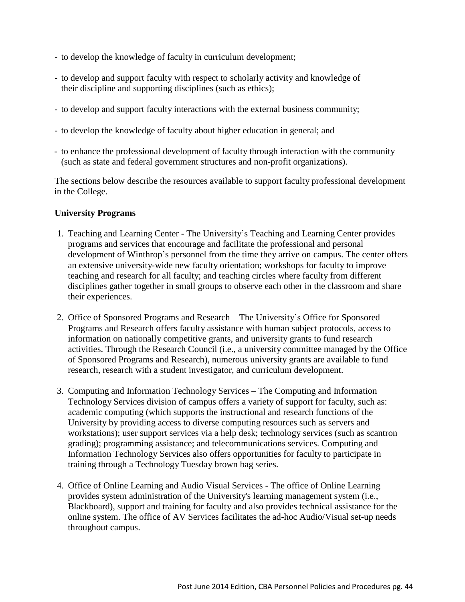- to develop the knowledge of faculty in curriculum development;
- to develop and support faculty with respect to scholarly activity and knowledge of their discipline and supporting disciplines (such as ethics);
- to develop and support faculty interactions with the external business community;
- to develop the knowledge of faculty about higher education in general; and
- to enhance the professional development of faculty through interaction with the community (such as state and federal government structures and non-profit organizations).

The sections below describe the resources available to support faculty professional development in the College.

## **University Programs**

- 1. Teaching and Learning Center The University's Teaching and Learning Center provides programs and services that encourage and facilitate the professional and personal development of Winthrop's personnel from the time they arrive on campus. The center offers an extensive university-wide new faculty orientation; workshops for faculty to improve teaching and research for all faculty; and teaching circles where faculty from different disciplines gather together in small groups to observe each other in the classroom and share their experiences.
- 2. Office of Sponsored Programs and Research The University's Office for Sponsored Programs and Research offers faculty assistance with human subject protocols, access to information on nationally competitive grants, and university grants to fund research activities. Through the Research Council (i.e., a university committee managed by the Office of Sponsored Programs and Research), numerous university grants are available to fund research, research with a student investigator, and curriculum development.
- 3. Computing and Information Technology Services The Computing and Information Technology Services division of campus offers a variety of support for faculty, such as: academic computing (which supports the instructional and research functions of the University by providing access to diverse computing resources such as servers and workstations); user support services via a help desk; technology services (such as scantron grading); programming assistance; and telecommunications services. Computing and Information Technology Services also offers opportunities for faculty to participate in training through a Technology Tuesday brown bag series.
- 4. Office of Online Learning and Audio Visual Services The office of Online Learning provides system administration of the University's learning management system (i.e., Blackboard), support and training for faculty and also provides technical assistance for the online system. The office of AV Services facilitates the ad-hoc Audio/Visual set-up needs throughout campus.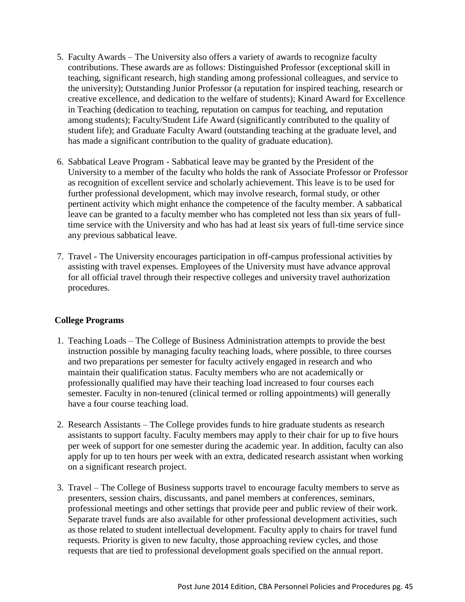- 5. Faculty Awards The University also offers a variety of awards to recognize faculty contributions. These awards are as follows: Distinguished Professor (exceptional skill in teaching, significant research, high standing among professional colleagues, and service to the university); Outstanding Junior Professor (a reputation for inspired teaching, research or creative excellence, and dedication to the welfare of students); Kinard Award for Excellence in Teaching (dedication to teaching, reputation on campus for teaching, and reputation among students); Faculty/Student Life Award (significantly contributed to the quality of student life); and Graduate Faculty Award (outstanding teaching at the graduate level, and has made a significant contribution to the quality of graduate education).
- 6. Sabbatical Leave Program Sabbatical leave may be granted by the President of the University to a member of the faculty who holds the rank of Associate Professor or Professor as recognition of excellent service and scholarly achievement. This leave is to be used for further professional development, which may involve research, formal study, or other pertinent activity which might enhance the competence of the faculty member. A sabbatical leave can be granted to a faculty member who has completed not less than six years of fulltime service with the University and who has had at least six years of full-time service since any previous sabbatical leave.
- 7. Travel The University encourages participation in off-campus professional activities by assisting with travel expenses. Employees of the University must have advance approval for all official travel through their respective colleges and university travel authorization procedures.

## **College Programs**

- 1. Teaching Loads The College of Business Administration attempts to provide the best instruction possible by managing faculty teaching loads, where possible, to three courses and two preparations per semester for faculty actively engaged in research and who maintain their qualification status. Faculty members who are not academically or professionally qualified may have their teaching load increased to four courses each semester. Faculty in non-tenured (clinical termed or rolling appointments) will generally have a four course teaching load.
- 2. Research Assistants The College provides funds to hire graduate students as research assistants to support faculty. Faculty members may apply to their chair for up to five hours per week of support for one semester during the academic year. In addition, faculty can also apply for up to ten hours per week with an extra, dedicated research assistant when working on a significant research project.
- 3. Travel The College of Business supports travel to encourage faculty members to serve as presenters, session chairs, discussants, and panel members at conferences, seminars, professional meetings and other settings that provide peer and public review of their work. Separate travel funds are also available for other professional development activities, such as those related to student intellectual development. Faculty apply to chairs for travel fund requests. Priority is given to new faculty, those approaching review cycles, and those requests that are tied to professional development goals specified on the annual report.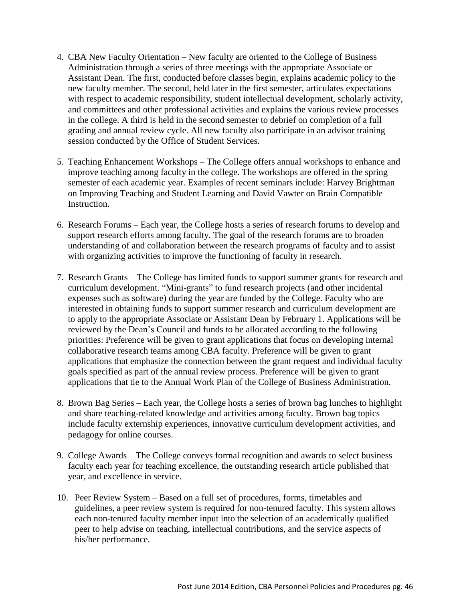- 4. CBA New Faculty Orientation New faculty are oriented to the College of Business Administration through a series of three meetings with the appropriate Associate or Assistant Dean. The first, conducted before classes begin, explains academic policy to the new faculty member. The second, held later in the first semester, articulates expectations with respect to academic responsibility, student intellectual development, scholarly activity, and committees and other professional activities and explains the various review processes in the college. A third is held in the second semester to debrief on completion of a full grading and annual review cycle. All new faculty also participate in an advisor training session conducted by the Office of Student Services.
- 5. Teaching Enhancement Workshops The College offers annual workshops to enhance and improve teaching among faculty in the college. The workshops are offered in the spring semester of each academic year. Examples of recent seminars include: Harvey Brightman on Improving Teaching and Student Learning and David Vawter on Brain Compatible Instruction.
- 6. Research Forums Each year, the College hosts a series of research forums to develop and support research efforts among faculty. The goal of the research forums are to broaden understanding of and collaboration between the research programs of faculty and to assist with organizing activities to improve the functioning of faculty in research.
- 7. Research Grants The College has limited funds to support summer grants for research and curriculum development. "Mini-grants" to fund research projects (and other incidental expenses such as software) during the year are funded by the College. Faculty who are interested in obtaining funds to support summer research and curriculum development are to apply to the appropriate Associate or Assistant Dean by February 1. Applications will be reviewed by the Dean's Council and funds to be allocated according to the following priorities: Preference will be given to grant applications that focus on developing internal collaborative research teams among CBA faculty. Preference will be given to grant applications that emphasize the connection between the grant request and individual faculty goals specified as part of the annual review process. Preference will be given to grant applications that tie to the Annual Work Plan of the College of Business Administration.
- 8. Brown Bag Series Each year, the College hosts a series of brown bag lunches to highlight and share teaching-related knowledge and activities among faculty. Brown bag topics include faculty externship experiences, innovative curriculum development activities, and pedagogy for online courses.
- 9. College Awards The College conveys formal recognition and awards to select business faculty each year for teaching excellence, the outstanding research article published that year, and excellence in service.
- 10. Peer Review System Based on a full set of procedures, forms, timetables and guidelines, a peer review system is required for non-tenured faculty. This system allows each non-tenured faculty member input into the selection of an academically qualified peer to help advise on teaching, intellectual contributions, and the service aspects of his/her performance.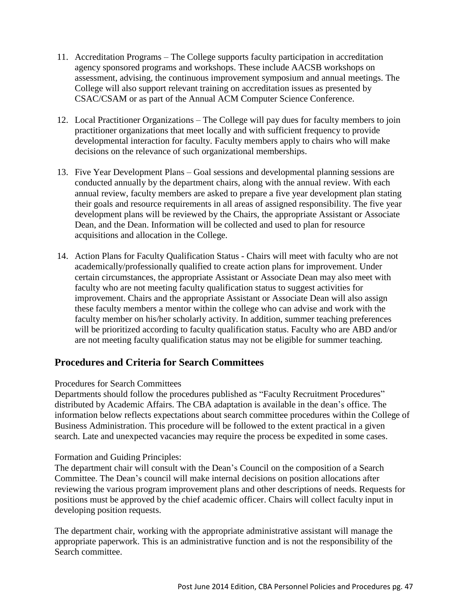- 11. Accreditation Programs The College supports faculty participation in accreditation agency sponsored programs and workshops. These include AACSB workshops on assessment, advising, the continuous improvement symposium and annual meetings. The College will also support relevant training on accreditation issues as presented by CSAC/CSAM or as part of the Annual ACM Computer Science Conference.
- 12. Local Practitioner Organizations The College will pay dues for faculty members to join practitioner organizations that meet locally and with sufficient frequency to provide developmental interaction for faculty. Faculty members apply to chairs who will make decisions on the relevance of such organizational memberships.
- 13. Five Year Development Plans Goal sessions and developmental planning sessions are conducted annually by the department chairs, along with the annual review. With each annual review, faculty members are asked to prepare a five year development plan stating their goals and resource requirements in all areas of assigned responsibility. The five year development plans will be reviewed by the Chairs, the appropriate Assistant or Associate Dean, and the Dean. Information will be collected and used to plan for resource acquisitions and allocation in the College.
- 14. Action Plans for Faculty Qualification Status Chairs will meet with faculty who are not academically/professionally qualified to create action plans for improvement. Under certain circumstances, the appropriate Assistant or Associate Dean may also meet with faculty who are not meeting faculty qualification status to suggest activities for improvement. Chairs and the appropriate Assistant or Associate Dean will also assign these faculty members a mentor within the college who can advise and work with the faculty member on his/her scholarly activity. In addition, summer teaching preferences will be prioritized according to faculty qualification status. Faculty who are ABD and/or are not meeting faculty qualification status may not be eligible for summer teaching.

# **Procedures and Criteria for Search Committees**

## Procedures for Search Committees

Departments should follow the procedures published as "Faculty Recruitment Procedures" distributed by Academic Affairs. The CBA adaptation is available in the dean's office. The information below reflects expectations about search committee procedures within the College of Business Administration. This procedure will be followed to the extent practical in a given search. Late and unexpected vacancies may require the process be expedited in some cases.

## Formation and Guiding Principles:

The department chair will consult with the Dean's Council on the composition of a Search Committee. The Dean's council will make internal decisions on position allocations after reviewing the various program improvement plans and other descriptions of needs. Requests for positions must be approved by the chief academic officer. Chairs will collect faculty input in developing position requests.

The department chair, working with the appropriate administrative assistant will manage the appropriate paperwork. This is an administrative function and is not the responsibility of the Search committee.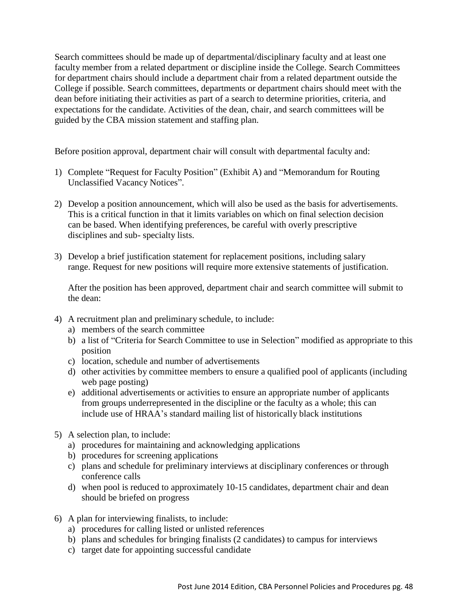Search committees should be made up of departmental/disciplinary faculty and at least one faculty member from a related department or discipline inside the College. Search Committees for department chairs should include a department chair from a related department outside the College if possible. Search committees, departments or department chairs should meet with the dean before initiating their activities as part of a search to determine priorities, criteria, and expectations for the candidate. Activities of the dean, chair, and search committees will be guided by the CBA mission statement and staffing plan.

Before position approval, department chair will consult with departmental faculty and:

- 1) Complete "Request for Faculty Position" (Exhibit A) and "Memorandum for Routing Unclassified Vacancy Notices".
- 2) Develop a position announcement, which will also be used as the basis for advertisements. This is a critical function in that it limits variables on which on final selection decision can be based. When identifying preferences, be careful with overly prescriptive disciplines and sub- specialty lists.
- 3) Develop a brief justification statement for replacement positions, including salary range. Request for new positions will require more extensive statements of justification.

After the position has been approved, department chair and search committee will submit to the dean:

- 4) A recruitment plan and preliminary schedule, to include:
	- a) members of the search committee
	- b) a list of "Criteria for Search Committee to use in Selection" modified as appropriate to this position
	- c) location, schedule and number of advertisements
	- d) other activities by committee members to ensure a qualified pool of applicants (including web page posting)
	- e) additional advertisements or activities to ensure an appropriate number of applicants from groups underrepresented in the discipline or the faculty as a whole; this can include use of HRAA's standard mailing list of historically black institutions
- 5) A selection plan, to include:
	- a) procedures for maintaining and acknowledging applications
	- b) procedures for screening applications
	- c) plans and schedule for preliminary interviews at disciplinary conferences or through conference calls
	- d) when pool is reduced to approximately 10-15 candidates, department chair and dean should be briefed on progress
- 6) A plan for interviewing finalists, to include:
	- a) procedures for calling listed or unlisted references
	- b) plans and schedules for bringing finalists (2 candidates) to campus for interviews
	- c) target date for appointing successful candidate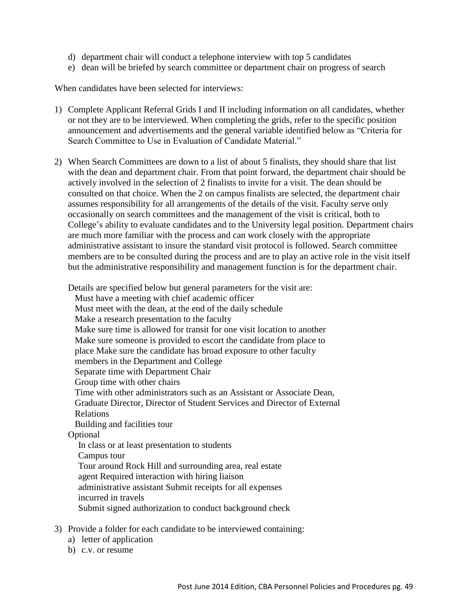- d) department chair will conduct a telephone interview with top 5 candidates
- e) dean will be briefed by search committee or department chair on progress of search

When candidates have been selected for interviews:

- 1) Complete Applicant Referral Grids I and II including information on all candidates, whether or not they are to be interviewed. When completing the grids, refer to the specific position announcement and advertisements and the general variable identified below as "Criteria for Search Committee to Use in Evaluation of Candidate Material."
- 2) When Search Committees are down to a list of about 5 finalists, they should share that list with the dean and department chair. From that point forward, the department chair should be actively involved in the selection of 2 finalists to invite for a visit. The dean should be consulted on that choice. When the 2 on campus finalists are selected, the department chair assumes responsibility for all arrangements of the details of the visit. Faculty serve only occasionally on search committees and the management of the visit is critical, both to College's ability to evaluate candidates and to the University legal position. Department chairs are much more familiar with the process and can work closely with the appropriate administrative assistant to insure the standard visit protocol is followed. Search committee members are to be consulted during the process and are to play an active role in the visit itself but the administrative responsibility and management function is for the department chair.

Details are specified below but general parameters for the visit are: Must have a meeting with chief academic officer Must meet with the dean, at the end of the daily schedule Make a research presentation to the faculty Make sure time is allowed for transit for one visit location to another Make sure someone is provided to escort the candidate from place to place Make sure the candidate has broad exposure to other faculty members in the Department and College Separate time with Department Chair Group time with other chairs Time with other administrators such as an Assistant or Associate Dean, Graduate Director, Director of Student Services and Director of External Relations Building and facilities tour Optional In class or at least presentation to students Campus tour Tour around Rock Hill and surrounding area, real estate agent Required interaction with hiring liaison administrative assistant Submit receipts for all expenses incurred in travels Submit signed authorization to conduct background check

- 3) Provide a folder for each candidate to be interviewed containing:
	- a) letter of application
	- b) c.v. or resume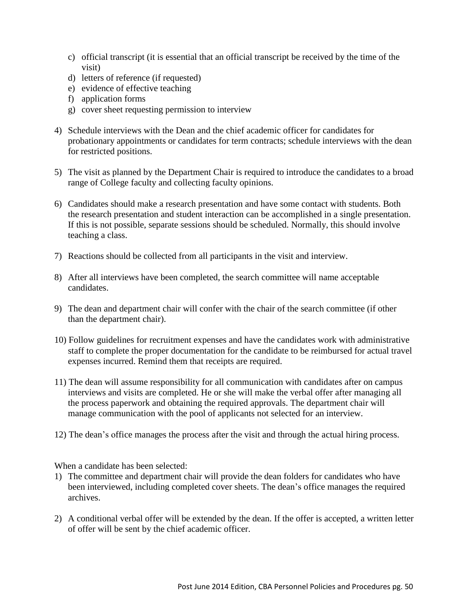- c) official transcript (it is essential that an official transcript be received by the time of the visit)
- d) letters of reference (if requested)
- e) evidence of effective teaching
- f) application forms
- g) cover sheet requesting permission to interview
- 4) Schedule interviews with the Dean and the chief academic officer for candidates for probationary appointments or candidates for term contracts; schedule interviews with the dean for restricted positions.
- 5) The visit as planned by the Department Chair is required to introduce the candidates to a broad range of College faculty and collecting faculty opinions.
- 6) Candidates should make a research presentation and have some contact with students. Both the research presentation and student interaction can be accomplished in a single presentation. If this is not possible, separate sessions should be scheduled. Normally, this should involve teaching a class.
- 7) Reactions should be collected from all participants in the visit and interview.
- 8) After all interviews have been completed, the search committee will name acceptable candidates.
- 9) The dean and department chair will confer with the chair of the search committee (if other than the department chair).
- 10) Follow guidelines for recruitment expenses and have the candidates work with administrative staff to complete the proper documentation for the candidate to be reimbursed for actual travel expenses incurred. Remind them that receipts are required.
- 11) The dean will assume responsibility for all communication with candidates after on campus interviews and visits are completed. He or she will make the verbal offer after managing all the process paperwork and obtaining the required approvals. The department chair will manage communication with the pool of applicants not selected for an interview.
- 12) The dean's office manages the process after the visit and through the actual hiring process.

When a candidate has been selected:

- 1) The committee and department chair will provide the dean folders for candidates who have been interviewed, including completed cover sheets. The dean's office manages the required archives.
- 2) A conditional verbal offer will be extended by the dean. If the offer is accepted, a written letter of offer will be sent by the chief academic officer.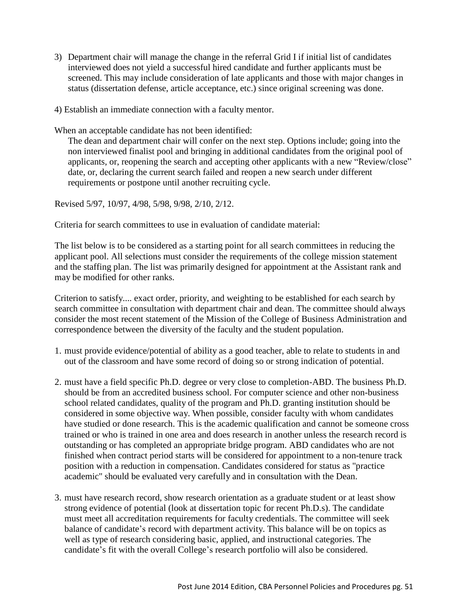- 3) Department chair will manage the change in the referral Grid I if initial list of candidates interviewed does not yield a successful hired candidate and further applicants must be screened. This may include consideration of late applicants and those with major changes in status (dissertation defense, article acceptance, etc.) since original screening was done.
- 4) Establish an immediate connection with a faculty mentor.

When an acceptable candidate has not been identified:

The dean and department chair will confer on the next step. Options include; going into the non interviewed finalist pool and bringing in additional candidates from the original pool of applicants, or, reopening the search and accepting other applicants with a new "Review/close" date, or, declaring the current search failed and reopen a new search under different requirements or postpone until another recruiting cycle.

Revised 5/97, 10/97, 4/98, 5/98, 9/98, 2/10, 2/12.

Criteria for search committees to use in evaluation of candidate material:

The list below is to be considered as a starting point for all search committees in reducing the applicant pool. All selections must consider the requirements of the college mission statement and the staffing plan. The list was primarily designed for appointment at the Assistant rank and may be modified for other ranks.

Criterion to satisfy.... exact order, priority, and weighting to be established for each search by search committee in consultation with department chair and dean. The committee should always consider the most recent statement of the Mission of the College of Business Administration and correspondence between the diversity of the faculty and the student population.

- 1. must provide evidence/potential of ability as a good teacher, able to relate to students in and out of the classroom and have some record of doing so or strong indication of potential.
- 2. must have a field specific Ph.D. degree or very close to completion-ABD. The business Ph.D. should be from an accredited business school. For computer science and other non-business school related candidates, quality of the program and Ph.D. granting institution should be considered in some objective way. When possible, consider faculty with whom candidates have studied or done research. This is the academic qualification and cannot be someone cross trained or who is trained in one area and does research in another unless the research record is outstanding or has completed an appropriate bridge program. ABD candidates who are not finished when contract period starts will be considered for appointment to a non-tenure track position with a reduction in compensation. Candidates considered for status as "practice academic" should be evaluated very carefully and in consultation with the Dean.
- 3. must have research record, show research orientation as a graduate student or at least show strong evidence of potential (look at dissertation topic for recent Ph.D.s). The candidate must meet all accreditation requirements for faculty credentials. The committee will seek balance of candidate's record with department activity. This balance will be on topics as well as type of research considering basic, applied, and instructional categories. The candidate's fit with the overall College's research portfolio will also be considered.